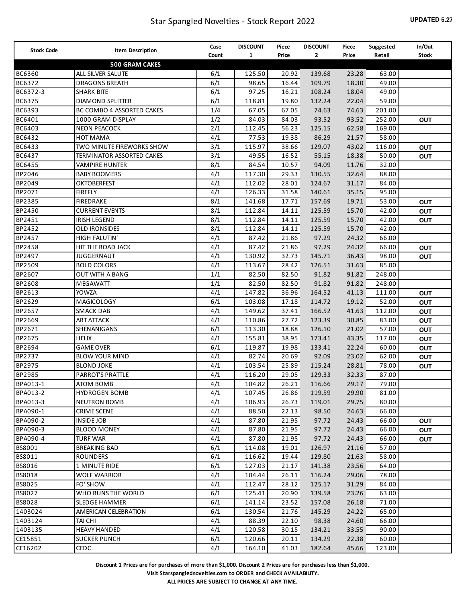| <b>Stock Code</b> | Item Description               | Case  | <b>DISCOUNT</b> | Piece | <b>DISCOUNT</b> | Piece | Suggested | In/Out       |
|-------------------|--------------------------------|-------|-----------------|-------|-----------------|-------|-----------|--------------|
|                   |                                | Count | $\mathbf{1}$    | Price | 2               | Price | Retail    | <b>Stock</b> |
|                   | <b>500 GRAM CAKES</b>          |       |                 |       |                 |       |           |              |
| BC6360            | ALL SILVER SALUTE              | 6/1   | 125.50          | 20.92 | 139.68          | 23.28 | 63.00     |              |
| BC6372            | <b>DRAGONS BREATH</b>          | 6/1   | 98.65           | 16.44 | 109.79          | 18.30 | 49.00     |              |
| BC6372-3          | <b>SHARK BITE</b>              | 6/1   | 97.25           | 16.21 | 108.24          | 18.04 | 49.00     |              |
| BC6375            | <b>DIAMOND SPLITTER</b>        | 6/1   | 118.81          | 19.80 | 132.24          | 22.04 | 59.00     |              |
| BC6393            | BC COMBO 4 ASSORTED CAKES      | 1/4   | 67.05           | 67.05 | 74.63           | 74.63 | 201.00    |              |
| BC6401            | 1000 GRAM DISPLAY              | 1/2   | 84.03           | 84.03 | 93.52           | 93.52 | 252.00    | OUT          |
| BC6403            | <b>NEON PEACOCK</b>            | 2/1   | 112.45          | 56.23 | 125.15          | 62.58 | 169.00    |              |
| BC6432            | <b>HOT MAMA</b>                | 4/1   | 77.53           | 19.38 | 86.29           | 21.57 | 58.00     |              |
| BC6433            | TWO MINUTE FIREWORKS SHOW      | 3/1   | 115.97          | 38.66 | 129.07          | 43.02 | 116.00    | <b>OUT</b>   |
| BC6437            | TERMINATOR ASSORTED CAKES      | 3/1   | 49.55           | 16.52 | 55.15           | 18.38 | 50.00     | OUT          |
| BC6455            | <b>VAMPIRE HUNTER</b>          | 8/1   | 84.54           | 10.57 | 94.09           | 11.76 | 32.00     |              |
| BP2046            | <b>BABY BOOMERS</b>            | 4/1   | 117.30          | 29.33 | 130.55          | 32.64 | 88.00     |              |
| BP2049            | <b>OKTOBERFEST</b>             | 4/1   | 112.02          | 28.01 | 124.67          | 31.17 | 84.00     |              |
| BP2071            | <b>FIREFLY</b>                 | 4/1   | 126.33          | 31.58 | 140.61          | 35.15 | 95.00     |              |
| BP2385            | <b>FIREDRAKE</b>               | 8/1   | 141.68          | 17.71 | 157.69          | 19.71 | 53.00     | <b>OUT</b>   |
| BP2450            | <b>CURRENT EVENTS</b>          | 8/1   | 112.84          | 14.11 | 125.59          | 15.70 | 42.00     | OUT          |
| BP2451            | <b>IRISH LEGEND</b>            | 8/1   | 112.84          | 14.11 | 125.59          | 15.70 | 42.00     | <b>OUT</b>   |
| BP2452            | <b>OLD IRONSIDES</b>           | 8/1   | 112.84          | 14.11 | 125.59          | 15.70 | 42.00     |              |
| BP2457            | <b>HIGH FALUTIN'</b>           | 4/1   | 87.42           | 21.86 | 97.29           | 24.32 | 66.00     |              |
| BP2458            | HIT THE ROAD JACK              | 4/1   | 87.42           | 21.86 | 97.29           | 24.32 | 66.00     | <b>OUT</b>   |
| BP2497            | <b>JUGGERNAUT</b>              | 4/1   | 130.92          | 32.73 | 145.71          | 36.43 | 98.00     | OUT          |
| BP2509            | <b>BOLD COLORS</b>             | 4/1   | 113.67          | 28.42 | 126.51          | 31.63 | 85.00     |              |
| BP2607            | <b>OUT WITH A BANG</b>         | 1/1   | 82.50           | 82.50 | 91.82           | 91.82 | 248.00    |              |
| BP2608            | MEGAWATT                       | 1/1   | 82.50           | 82.50 | 91.82           | 91.82 | 248.00    |              |
| BP2613            | <b>YOWZA</b>                   | 4/1   | 147.82          | 36.96 | 164.52          | 41.13 | 111.00    | <b>OUT</b>   |
| BP2629            | MAGICOLOGY                     | 6/1   | 103.08          | 17.18 | 114.72          | 19.12 | 52.00     | OUT          |
| BP2657            | <b>SMACK DAB</b>               | 4/1   | 149.62          | 37.41 | 166.52          | 41.63 | 112.00    | OUT          |
| BP2669            | <b>ART ATTACK</b>              | 4/1   | 110.86          | 27.72 | 123.39          | 30.85 | 83.00     | OUT          |
| BP2671            | SHENANIGANS                    | 6/1   | 113.30          | 18.88 | 126.10          | 21.02 | 57.00     | OUT          |
| BP2675            | <b>HELIX</b>                   | 4/1   | 155.81          | 38.95 | 173.41          | 43.35 | 117.00    | OUT          |
| BP2694            | <b>GAME OVER</b>               | 6/1   | 119.87          | 19.98 | 133.41          | 22.24 | 60.00     | OUT          |
| BP2737            | <b>BLOW YOUR MIND</b>          | 4/1   | 82.74           | 20.69 | 92.09           | 23.02 | 62.00     | <b>OUT</b>   |
| BP2975            | <b>BLOND JOKE</b>              | 4/1   | 103.54          | 25.89 | 115.24          | 28.81 | 78.00     | <b>OUT</b>   |
| BP2985            | PARROT'S PRATTLE               | 4/1   | 116.20          | 29.05 | 129.33          | 32.33 | 87.00     |              |
| BPA013-1          | <b>ATOM BOMB</b>               | 4/1   | 104.82          | 26.21 | 116.66          | 29.17 | 79.00     |              |
| BPA013-2          | <b>HYDROGEN BOMB</b>           | 4/1   | 107.45          | 26.86 | 119.59          | 29.90 | 81.00     |              |
| BPA013-3          | <b>NEUTRON BOMB</b>            | 4/1   | 106.93          | 26.73 | 119.01          | 29.75 | 80.00     |              |
| BPA090-1          | <b>CRIME SCENE</b>             | 4/1   | 88.50           | 22.13 | 98.50           | 24.63 | 66.00     |              |
| BPA090-2          | <b>INSIDE JOB</b>              | 4/1   | 87.80           | 21.95 | 97.72           | 24.43 | 66.00     | OUT          |
| BPA090-3          | <b>BLOOD MONEY</b>             | 4/1   | 87.80           | 21.95 | 97.72           | 24.43 | 66.00     | <b>OUT</b>   |
| BPA090-4          | TURF WAR                       | 4/1   | 87.80           | 21.95 | 97.72           | 24.43 | 66.00     | <b>OUT</b>   |
| BS8001            | <b>BREAKING BAD</b>            | 6/1   | 114.08          | 19.01 | 126.97          | 21.16 | 57.00     |              |
| BS8011            | ROUNDERS                       | 6/1   | 116.62          | 19.44 | 129.80          | 21.63 | 58.00     |              |
| BS8016            | 1 MINUTE RIDE                  | 6/1   | 127.03          | 21.17 | 141.38          | 23.56 | 64.00     |              |
| BS8018            | <b>WOLF WARRIOR</b>            | 4/1   | 104.44          | 26.11 | 116.24          | 29.06 | 78.00     |              |
| BS8025            | FO' SHOW                       | 4/1   | 112.47          | 28.12 | 125.17          | 31.29 | 84.00     |              |
| BS8027            | WHO RUNS THE WORLD             | 6/1   | 125.41          | 20.90 | 139.58          | 23.26 | 63.00     |              |
|                   |                                |       |                 |       |                 |       |           |              |
| BS8028            | SLEDGE HAMMER                  | 6/1   | 141.14          | 23.52 | 157.08          | 26.18 | 71.00     |              |
| 1403024           | AMERICAN CELEBRATION           | 6/1   | 130.54          | 21.76 | 145.29          | 24.22 | 65.00     |              |
| 1403124           | TAI CHI<br><b>HEAVY HANDED</b> | 4/1   | 88.39           | 22.10 | 98.38           | 24.60 | 66.00     |              |
| 1403135           |                                | 4/1   | 120.58          | 30.15 | 134.21          | 33.55 | 90.00     |              |
| CE15851           | <b>SUCKER PUNCH</b>            | 6/1   | 120.66          | 20.11 | 134.29          | 22.38 | 60.00     |              |
| CE16202           | CEDC                           | 4/1   | 164.10          | 41.03 | 182.64          | 45.66 | 123.00    |              |

**Visit Starspanglednovelties.com to ORDER and CHECK AVAILABILITY.**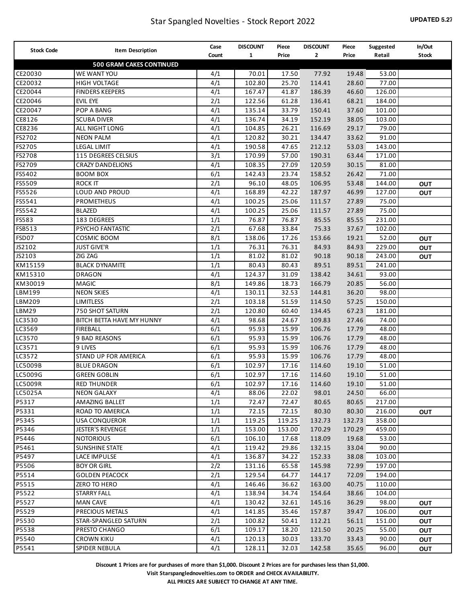| 2<br>Count<br>$\mathbf{1}$<br>Price<br>Price<br>Retail<br><b>Stock</b><br><b>500 GRAM CAKES CONTINUED</b><br>CE20030<br>WE WANT YOU<br>4/1<br>53.00<br>70.01<br>17.50<br>77.92<br>19.48<br>114.41<br>CE20032<br>4/1<br>102.80<br>25.70<br>28.60<br>77.00<br><b>HIGH VOLTAGE</b><br>4/1<br>186.39<br>CE20044<br>167.47<br>41.87<br>46.60<br>126.00<br><b>FINDERS KEEPERS</b><br>2/1<br>136.41<br>CE20046<br>122.56<br>61.28<br>68.21<br>184.00<br><b>EVIL EYE</b><br>CE20047<br>4/1<br>135.14<br>33.79<br>150.41<br>37.60<br>101.00<br>POP A BANG<br>4/1<br>152.19<br>CE8126<br>136.74<br>34.19<br>38.05<br>103.00<br><b>SCUBA DIVER</b><br>4/1<br>116.69<br>CE8236<br>104.85<br>26.21<br>29.17<br>79.00<br>ALL NIGHT LONG<br>4/1<br>134.47<br>FS2702<br>120.82<br>30.21<br>33.62<br>91.00<br><b>NEON PALM</b><br>4/1<br>212.12<br>FS2705<br>190.58<br>47.65<br>53.03<br>143.00<br><b>LEGAL LIMIT</b><br>3/1<br>190.31<br>FS2708<br>115 DEGREES CELSIUS<br>170.99<br>57.00<br>63.44<br>171.00<br>120.59<br>FS2709<br>4/1<br>108.35<br>27.09<br>30.15<br>81.00<br><b>CRAZY DANDELIONS</b><br>6/1<br>158.52<br>71.00<br>FS5402<br>142.43<br>23.74<br>26.42<br><b>BOOM BOX</b><br>106.95<br>FS5509<br><b>ROCK IT</b><br>2/1<br>96.10<br>48.05<br>53.48<br>144.00<br><b>OUT</b><br>187.97<br>FS5526<br>LOUD AND PROUD<br>4/1<br>168.89<br>42.22<br>46.99<br>127.00<br><b>OUT</b><br>4/1<br>111.57<br>FS5541<br>PROMETHEUS<br>100.25<br>25.06<br>27.89<br>75.00<br>4/1<br>111.57<br>75.00<br>FS5542<br>100.25<br>25.06<br>27.89<br><b>BLAZED</b><br>76.87<br>85.55<br>231.00<br>FS583<br>183 DEGREES<br>1/1<br>76.87<br>85.55<br>75.33<br>FSB513<br>PSYCHO FANTASTIC<br>2/1<br>67.68<br>33.84<br>37.67<br>102.00<br>153.66<br>52.00<br>FSD07<br>COSMIC BOOM<br>8/1<br>138.06<br>17.26<br>19.21<br><b>OUT</b><br>76.31<br>JS2102<br><b>JUST GIVE'R</b><br>1/1<br>76.31<br>84.93<br>84.93<br>229.00<br><b>OUT</b><br>90.18<br>JS2103<br>ZIG ZAG<br>1/1<br>81.02<br>81.02<br>90.18<br>243.00<br><b>OUT</b><br>89.51<br>KM15159<br><b>BLACK DYNAMITE</b><br>1/1<br>80.43<br>80.43<br>89.51<br>241.00<br>138.42<br>KM15310<br><b>DRAGON</b><br>4/1<br>124.37<br>31.09<br>34.61<br>93.00<br>166.79<br>KM30019<br>MAGIC<br>8/1<br>149.86<br>18.73<br>20.85<br>56.00<br>144.81<br>LBM199<br><b>NEON SKIES</b><br>4/1<br>130.11<br>32.53<br>36.20<br>98.00<br>2/1<br>114.50<br>LBM209<br>103.18<br>51.59<br>57.25<br>150.00<br><b>LIMITLESS</b> | <b>Stock Code</b> | Item Description | Case | <b>DISCOUNT</b> | Piece | <b>DISCOUNT</b> | Piece | Suggested | In/Out |
|----------------------------------------------------------------------------------------------------------------------------------------------------------------------------------------------------------------------------------------------------------------------------------------------------------------------------------------------------------------------------------------------------------------------------------------------------------------------------------------------------------------------------------------------------------------------------------------------------------------------------------------------------------------------------------------------------------------------------------------------------------------------------------------------------------------------------------------------------------------------------------------------------------------------------------------------------------------------------------------------------------------------------------------------------------------------------------------------------------------------------------------------------------------------------------------------------------------------------------------------------------------------------------------------------------------------------------------------------------------------------------------------------------------------------------------------------------------------------------------------------------------------------------------------------------------------------------------------------------------------------------------------------------------------------------------------------------------------------------------------------------------------------------------------------------------------------------------------------------------------------------------------------------------------------------------------------------------------------------------------------------------------------------------------------------------------------------------------------------------------------------------------------------------------------------------------------------------------------------------------------------------------------------------------------------------------------------------------------------------------------------------------------------------------------------|-------------------|------------------|------|-----------------|-------|-----------------|-------|-----------|--------|
|                                                                                                                                                                                                                                                                                                                                                                                                                                                                                                                                                                                                                                                                                                                                                                                                                                                                                                                                                                                                                                                                                                                                                                                                                                                                                                                                                                                                                                                                                                                                                                                                                                                                                                                                                                                                                                                                                                                                                                                                                                                                                                                                                                                                                                                                                                                                                                                                                                  |                   |                  |      |                 |       |                 |       |           |        |
|                                                                                                                                                                                                                                                                                                                                                                                                                                                                                                                                                                                                                                                                                                                                                                                                                                                                                                                                                                                                                                                                                                                                                                                                                                                                                                                                                                                                                                                                                                                                                                                                                                                                                                                                                                                                                                                                                                                                                                                                                                                                                                                                                                                                                                                                                                                                                                                                                                  |                   |                  |      |                 |       |                 |       |           |        |
|                                                                                                                                                                                                                                                                                                                                                                                                                                                                                                                                                                                                                                                                                                                                                                                                                                                                                                                                                                                                                                                                                                                                                                                                                                                                                                                                                                                                                                                                                                                                                                                                                                                                                                                                                                                                                                                                                                                                                                                                                                                                                                                                                                                                                                                                                                                                                                                                                                  |                   |                  |      |                 |       |                 |       |           |        |
|                                                                                                                                                                                                                                                                                                                                                                                                                                                                                                                                                                                                                                                                                                                                                                                                                                                                                                                                                                                                                                                                                                                                                                                                                                                                                                                                                                                                                                                                                                                                                                                                                                                                                                                                                                                                                                                                                                                                                                                                                                                                                                                                                                                                                                                                                                                                                                                                                                  |                   |                  |      |                 |       |                 |       |           |        |
|                                                                                                                                                                                                                                                                                                                                                                                                                                                                                                                                                                                                                                                                                                                                                                                                                                                                                                                                                                                                                                                                                                                                                                                                                                                                                                                                                                                                                                                                                                                                                                                                                                                                                                                                                                                                                                                                                                                                                                                                                                                                                                                                                                                                                                                                                                                                                                                                                                  |                   |                  |      |                 |       |                 |       |           |        |
|                                                                                                                                                                                                                                                                                                                                                                                                                                                                                                                                                                                                                                                                                                                                                                                                                                                                                                                                                                                                                                                                                                                                                                                                                                                                                                                                                                                                                                                                                                                                                                                                                                                                                                                                                                                                                                                                                                                                                                                                                                                                                                                                                                                                                                                                                                                                                                                                                                  |                   |                  |      |                 |       |                 |       |           |        |
|                                                                                                                                                                                                                                                                                                                                                                                                                                                                                                                                                                                                                                                                                                                                                                                                                                                                                                                                                                                                                                                                                                                                                                                                                                                                                                                                                                                                                                                                                                                                                                                                                                                                                                                                                                                                                                                                                                                                                                                                                                                                                                                                                                                                                                                                                                                                                                                                                                  |                   |                  |      |                 |       |                 |       |           |        |
|                                                                                                                                                                                                                                                                                                                                                                                                                                                                                                                                                                                                                                                                                                                                                                                                                                                                                                                                                                                                                                                                                                                                                                                                                                                                                                                                                                                                                                                                                                                                                                                                                                                                                                                                                                                                                                                                                                                                                                                                                                                                                                                                                                                                                                                                                                                                                                                                                                  |                   |                  |      |                 |       |                 |       |           |        |
|                                                                                                                                                                                                                                                                                                                                                                                                                                                                                                                                                                                                                                                                                                                                                                                                                                                                                                                                                                                                                                                                                                                                                                                                                                                                                                                                                                                                                                                                                                                                                                                                                                                                                                                                                                                                                                                                                                                                                                                                                                                                                                                                                                                                                                                                                                                                                                                                                                  |                   |                  |      |                 |       |                 |       |           |        |
|                                                                                                                                                                                                                                                                                                                                                                                                                                                                                                                                                                                                                                                                                                                                                                                                                                                                                                                                                                                                                                                                                                                                                                                                                                                                                                                                                                                                                                                                                                                                                                                                                                                                                                                                                                                                                                                                                                                                                                                                                                                                                                                                                                                                                                                                                                                                                                                                                                  |                   |                  |      |                 |       |                 |       |           |        |
|                                                                                                                                                                                                                                                                                                                                                                                                                                                                                                                                                                                                                                                                                                                                                                                                                                                                                                                                                                                                                                                                                                                                                                                                                                                                                                                                                                                                                                                                                                                                                                                                                                                                                                                                                                                                                                                                                                                                                                                                                                                                                                                                                                                                                                                                                                                                                                                                                                  |                   |                  |      |                 |       |                 |       |           |        |
|                                                                                                                                                                                                                                                                                                                                                                                                                                                                                                                                                                                                                                                                                                                                                                                                                                                                                                                                                                                                                                                                                                                                                                                                                                                                                                                                                                                                                                                                                                                                                                                                                                                                                                                                                                                                                                                                                                                                                                                                                                                                                                                                                                                                                                                                                                                                                                                                                                  |                   |                  |      |                 |       |                 |       |           |        |
|                                                                                                                                                                                                                                                                                                                                                                                                                                                                                                                                                                                                                                                                                                                                                                                                                                                                                                                                                                                                                                                                                                                                                                                                                                                                                                                                                                                                                                                                                                                                                                                                                                                                                                                                                                                                                                                                                                                                                                                                                                                                                                                                                                                                                                                                                                                                                                                                                                  |                   |                  |      |                 |       |                 |       |           |        |
|                                                                                                                                                                                                                                                                                                                                                                                                                                                                                                                                                                                                                                                                                                                                                                                                                                                                                                                                                                                                                                                                                                                                                                                                                                                                                                                                                                                                                                                                                                                                                                                                                                                                                                                                                                                                                                                                                                                                                                                                                                                                                                                                                                                                                                                                                                                                                                                                                                  |                   |                  |      |                 |       |                 |       |           |        |
|                                                                                                                                                                                                                                                                                                                                                                                                                                                                                                                                                                                                                                                                                                                                                                                                                                                                                                                                                                                                                                                                                                                                                                                                                                                                                                                                                                                                                                                                                                                                                                                                                                                                                                                                                                                                                                                                                                                                                                                                                                                                                                                                                                                                                                                                                                                                                                                                                                  |                   |                  |      |                 |       |                 |       |           |        |
|                                                                                                                                                                                                                                                                                                                                                                                                                                                                                                                                                                                                                                                                                                                                                                                                                                                                                                                                                                                                                                                                                                                                                                                                                                                                                                                                                                                                                                                                                                                                                                                                                                                                                                                                                                                                                                                                                                                                                                                                                                                                                                                                                                                                                                                                                                                                                                                                                                  |                   |                  |      |                 |       |                 |       |           |        |
|                                                                                                                                                                                                                                                                                                                                                                                                                                                                                                                                                                                                                                                                                                                                                                                                                                                                                                                                                                                                                                                                                                                                                                                                                                                                                                                                                                                                                                                                                                                                                                                                                                                                                                                                                                                                                                                                                                                                                                                                                                                                                                                                                                                                                                                                                                                                                                                                                                  |                   |                  |      |                 |       |                 |       |           |        |
|                                                                                                                                                                                                                                                                                                                                                                                                                                                                                                                                                                                                                                                                                                                                                                                                                                                                                                                                                                                                                                                                                                                                                                                                                                                                                                                                                                                                                                                                                                                                                                                                                                                                                                                                                                                                                                                                                                                                                                                                                                                                                                                                                                                                                                                                                                                                                                                                                                  |                   |                  |      |                 |       |                 |       |           |        |
|                                                                                                                                                                                                                                                                                                                                                                                                                                                                                                                                                                                                                                                                                                                                                                                                                                                                                                                                                                                                                                                                                                                                                                                                                                                                                                                                                                                                                                                                                                                                                                                                                                                                                                                                                                                                                                                                                                                                                                                                                                                                                                                                                                                                                                                                                                                                                                                                                                  |                   |                  |      |                 |       |                 |       |           |        |
|                                                                                                                                                                                                                                                                                                                                                                                                                                                                                                                                                                                                                                                                                                                                                                                                                                                                                                                                                                                                                                                                                                                                                                                                                                                                                                                                                                                                                                                                                                                                                                                                                                                                                                                                                                                                                                                                                                                                                                                                                                                                                                                                                                                                                                                                                                                                                                                                                                  |                   |                  |      |                 |       |                 |       |           |        |
|                                                                                                                                                                                                                                                                                                                                                                                                                                                                                                                                                                                                                                                                                                                                                                                                                                                                                                                                                                                                                                                                                                                                                                                                                                                                                                                                                                                                                                                                                                                                                                                                                                                                                                                                                                                                                                                                                                                                                                                                                                                                                                                                                                                                                                                                                                                                                                                                                                  |                   |                  |      |                 |       |                 |       |           |        |
|                                                                                                                                                                                                                                                                                                                                                                                                                                                                                                                                                                                                                                                                                                                                                                                                                                                                                                                                                                                                                                                                                                                                                                                                                                                                                                                                                                                                                                                                                                                                                                                                                                                                                                                                                                                                                                                                                                                                                                                                                                                                                                                                                                                                                                                                                                                                                                                                                                  |                   |                  |      |                 |       |                 |       |           |        |
|                                                                                                                                                                                                                                                                                                                                                                                                                                                                                                                                                                                                                                                                                                                                                                                                                                                                                                                                                                                                                                                                                                                                                                                                                                                                                                                                                                                                                                                                                                                                                                                                                                                                                                                                                                                                                                                                                                                                                                                                                                                                                                                                                                                                                                                                                                                                                                                                                                  |                   |                  |      |                 |       |                 |       |           |        |
|                                                                                                                                                                                                                                                                                                                                                                                                                                                                                                                                                                                                                                                                                                                                                                                                                                                                                                                                                                                                                                                                                                                                                                                                                                                                                                                                                                                                                                                                                                                                                                                                                                                                                                                                                                                                                                                                                                                                                                                                                                                                                                                                                                                                                                                                                                                                                                                                                                  |                   |                  |      |                 |       |                 |       |           |        |
|                                                                                                                                                                                                                                                                                                                                                                                                                                                                                                                                                                                                                                                                                                                                                                                                                                                                                                                                                                                                                                                                                                                                                                                                                                                                                                                                                                                                                                                                                                                                                                                                                                                                                                                                                                                                                                                                                                                                                                                                                                                                                                                                                                                                                                                                                                                                                                                                                                  |                   |                  |      |                 |       |                 |       |           |        |
|                                                                                                                                                                                                                                                                                                                                                                                                                                                                                                                                                                                                                                                                                                                                                                                                                                                                                                                                                                                                                                                                                                                                                                                                                                                                                                                                                                                                                                                                                                                                                                                                                                                                                                                                                                                                                                                                                                                                                                                                                                                                                                                                                                                                                                                                                                                                                                                                                                  |                   |                  |      |                 |       |                 |       |           |        |
|                                                                                                                                                                                                                                                                                                                                                                                                                                                                                                                                                                                                                                                                                                                                                                                                                                                                                                                                                                                                                                                                                                                                                                                                                                                                                                                                                                                                                                                                                                                                                                                                                                                                                                                                                                                                                                                                                                                                                                                                                                                                                                                                                                                                                                                                                                                                                                                                                                  |                   |                  |      |                 |       |                 |       |           |        |
|                                                                                                                                                                                                                                                                                                                                                                                                                                                                                                                                                                                                                                                                                                                                                                                                                                                                                                                                                                                                                                                                                                                                                                                                                                                                                                                                                                                                                                                                                                                                                                                                                                                                                                                                                                                                                                                                                                                                                                                                                                                                                                                                                                                                                                                                                                                                                                                                                                  |                   |                  |      |                 |       |                 |       |           |        |
|                                                                                                                                                                                                                                                                                                                                                                                                                                                                                                                                                                                                                                                                                                                                                                                                                                                                                                                                                                                                                                                                                                                                                                                                                                                                                                                                                                                                                                                                                                                                                                                                                                                                                                                                                                                                                                                                                                                                                                                                                                                                                                                                                                                                                                                                                                                                                                                                                                  |                   |                  |      |                 |       |                 |       |           |        |
| 134.45<br>LBM29<br>750 SHOT SATURN<br>2/1<br>120.80<br>60.40<br>67.23<br>181.00                                                                                                                                                                                                                                                                                                                                                                                                                                                                                                                                                                                                                                                                                                                                                                                                                                                                                                                                                                                                                                                                                                                                                                                                                                                                                                                                                                                                                                                                                                                                                                                                                                                                                                                                                                                                                                                                                                                                                                                                                                                                                                                                                                                                                                                                                                                                                  |                   |                  |      |                 |       |                 |       |           |        |
| LC3530<br>4/1<br>98.68<br>24.67<br>109.83<br>27.46<br>74.00<br>BITCH BETTA HAVE MY HUNNY                                                                                                                                                                                                                                                                                                                                                                                                                                                                                                                                                                                                                                                                                                                                                                                                                                                                                                                                                                                                                                                                                                                                                                                                                                                                                                                                                                                                                                                                                                                                                                                                                                                                                                                                                                                                                                                                                                                                                                                                                                                                                                                                                                                                                                                                                                                                         |                   |                  |      |                 |       |                 |       |           |        |
| 6/1<br>106.76<br>LC3569<br>95.93<br>15.99<br>17.79<br>48.00<br><b>FIREBALL</b>                                                                                                                                                                                                                                                                                                                                                                                                                                                                                                                                                                                                                                                                                                                                                                                                                                                                                                                                                                                                                                                                                                                                                                                                                                                                                                                                                                                                                                                                                                                                                                                                                                                                                                                                                                                                                                                                                                                                                                                                                                                                                                                                                                                                                                                                                                                                                   |                   |                  |      |                 |       |                 |       |           |        |
| 6/1<br>106.76<br>LC3570<br>9 BAD REASONS<br>95.93<br>15.99<br>17.79<br>48.00                                                                                                                                                                                                                                                                                                                                                                                                                                                                                                                                                                                                                                                                                                                                                                                                                                                                                                                                                                                                                                                                                                                                                                                                                                                                                                                                                                                                                                                                                                                                                                                                                                                                                                                                                                                                                                                                                                                                                                                                                                                                                                                                                                                                                                                                                                                                                     |                   |                  |      |                 |       |                 |       |           |        |
| 6/1<br>106.76<br>LC3571<br>95.93<br>15.99<br>17.79<br>48.00<br>9 LIVES                                                                                                                                                                                                                                                                                                                                                                                                                                                                                                                                                                                                                                                                                                                                                                                                                                                                                                                                                                                                                                                                                                                                                                                                                                                                                                                                                                                                                                                                                                                                                                                                                                                                                                                                                                                                                                                                                                                                                                                                                                                                                                                                                                                                                                                                                                                                                           |                   |                  |      |                 |       |                 |       |           |        |
| LC3572<br>STAND UP FOR AMERICA<br>6/1<br>95.93<br>15.99<br>106.76<br>17.79<br>48.00                                                                                                                                                                                                                                                                                                                                                                                                                                                                                                                                                                                                                                                                                                                                                                                                                                                                                                                                                                                                                                                                                                                                                                                                                                                                                                                                                                                                                                                                                                                                                                                                                                                                                                                                                                                                                                                                                                                                                                                                                                                                                                                                                                                                                                                                                                                                              |                   |                  |      |                 |       |                 |       |           |        |
| LC5009B<br>6/1<br>102.97<br>17.16<br>114.60<br>19.10<br>51.00<br><b>BLUE DRAGON</b>                                                                                                                                                                                                                                                                                                                                                                                                                                                                                                                                                                                                                                                                                                                                                                                                                                                                                                                                                                                                                                                                                                                                                                                                                                                                                                                                                                                                                                                                                                                                                                                                                                                                                                                                                                                                                                                                                                                                                                                                                                                                                                                                                                                                                                                                                                                                              |                   |                  |      |                 |       |                 |       |           |        |
| 6/1<br>114.60<br>19.10<br>51.00<br>LC5009G<br><b>GREEN GOBLIN</b><br>102.97<br>17.16                                                                                                                                                                                                                                                                                                                                                                                                                                                                                                                                                                                                                                                                                                                                                                                                                                                                                                                                                                                                                                                                                                                                                                                                                                                                                                                                                                                                                                                                                                                                                                                                                                                                                                                                                                                                                                                                                                                                                                                                                                                                                                                                                                                                                                                                                                                                             |                   |                  |      |                 |       |                 |       |           |        |
| 17.16<br>51.00<br>LC5009R<br><b>RED THUNDER</b><br>6/1<br>102.97<br>114.60<br>19.10                                                                                                                                                                                                                                                                                                                                                                                                                                                                                                                                                                                                                                                                                                                                                                                                                                                                                                                                                                                                                                                                                                                                                                                                                                                                                                                                                                                                                                                                                                                                                                                                                                                                                                                                                                                                                                                                                                                                                                                                                                                                                                                                                                                                                                                                                                                                              |                   |                  |      |                 |       |                 |       |           |        |
| 66.00<br>LC5025A<br>4/1<br>88.06<br>98.01<br>24.50<br><b>NEON GALAXY</b><br>22.02                                                                                                                                                                                                                                                                                                                                                                                                                                                                                                                                                                                                                                                                                                                                                                                                                                                                                                                                                                                                                                                                                                                                                                                                                                                                                                                                                                                                                                                                                                                                                                                                                                                                                                                                                                                                                                                                                                                                                                                                                                                                                                                                                                                                                                                                                                                                                |                   |                  |      |                 |       |                 |       |           |        |
| P5317<br>1/1<br>80.65<br>AMAZING BALLET<br>72.47<br>72.47<br>80.65<br>217.00                                                                                                                                                                                                                                                                                                                                                                                                                                                                                                                                                                                                                                                                                                                                                                                                                                                                                                                                                                                                                                                                                                                                                                                                                                                                                                                                                                                                                                                                                                                                                                                                                                                                                                                                                                                                                                                                                                                                                                                                                                                                                                                                                                                                                                                                                                                                                     |                   |                  |      |                 |       |                 |       |           |        |
| 80.30<br>80.30<br>P5331<br>1/1<br>72.15<br>72.15<br>216.00<br>ROAD TO AMERICA<br><b>OUT</b>                                                                                                                                                                                                                                                                                                                                                                                                                                                                                                                                                                                                                                                                                                                                                                                                                                                                                                                                                                                                                                                                                                                                                                                                                                                                                                                                                                                                                                                                                                                                                                                                                                                                                                                                                                                                                                                                                                                                                                                                                                                                                                                                                                                                                                                                                                                                      |                   |                  |      |                 |       |                 |       |           |        |
| P5345<br>1/1<br>119.25<br>119.25<br>132.73<br>132.73<br>358.00<br><b>USA CONQUEROR</b>                                                                                                                                                                                                                                                                                                                                                                                                                                                                                                                                                                                                                                                                                                                                                                                                                                                                                                                                                                                                                                                                                                                                                                                                                                                                                                                                                                                                                                                                                                                                                                                                                                                                                                                                                                                                                                                                                                                                                                                                                                                                                                                                                                                                                                                                                                                                           |                   |                  |      |                 |       |                 |       |           |        |
| P5346<br>170.29<br><b>JESTER'S REVENGE</b><br>1/1<br>153.00<br>170.29<br>459.00<br>153.00                                                                                                                                                                                                                                                                                                                                                                                                                                                                                                                                                                                                                                                                                                                                                                                                                                                                                                                                                                                                                                                                                                                                                                                                                                                                                                                                                                                                                                                                                                                                                                                                                                                                                                                                                                                                                                                                                                                                                                                                                                                                                                                                                                                                                                                                                                                                        |                   |                  |      |                 |       |                 |       |           |        |
| P5446<br>6/1<br><b>NOTORIOUS</b><br>106.10<br>17.68<br>118.09<br>19.68<br>53.00                                                                                                                                                                                                                                                                                                                                                                                                                                                                                                                                                                                                                                                                                                                                                                                                                                                                                                                                                                                                                                                                                                                                                                                                                                                                                                                                                                                                                                                                                                                                                                                                                                                                                                                                                                                                                                                                                                                                                                                                                                                                                                                                                                                                                                                                                                                                                  |                   |                  |      |                 |       |                 |       |           |        |
| P5461<br>4/1<br>33.04<br><b>SUNSHINE STATE</b><br>119.42<br>29.86<br>132.15<br>90.00                                                                                                                                                                                                                                                                                                                                                                                                                                                                                                                                                                                                                                                                                                                                                                                                                                                                                                                                                                                                                                                                                                                                                                                                                                                                                                                                                                                                                                                                                                                                                                                                                                                                                                                                                                                                                                                                                                                                                                                                                                                                                                                                                                                                                                                                                                                                             |                   |                  |      |                 |       |                 |       |           |        |
| P5497<br>4/1<br>LACE IMPULSE<br>136.87<br>34.22<br>152.33<br>38.08<br>103.00                                                                                                                                                                                                                                                                                                                                                                                                                                                                                                                                                                                                                                                                                                                                                                                                                                                                                                                                                                                                                                                                                                                                                                                                                                                                                                                                                                                                                                                                                                                                                                                                                                                                                                                                                                                                                                                                                                                                                                                                                                                                                                                                                                                                                                                                                                                                                     |                   |                  |      |                 |       |                 |       |           |        |
| 2/2<br>145.98<br>P5506<br><b>BOY OR GIRL</b><br>131.16<br>65.58<br>72.99<br>197.00                                                                                                                                                                                                                                                                                                                                                                                                                                                                                                                                                                                                                                                                                                                                                                                                                                                                                                                                                                                                                                                                                                                                                                                                                                                                                                                                                                                                                                                                                                                                                                                                                                                                                                                                                                                                                                                                                                                                                                                                                                                                                                                                                                                                                                                                                                                                               |                   |                  |      |                 |       |                 |       |           |        |
| P5514<br><b>GOLDEN PEACOCK</b><br>2/1<br>129.54<br>64.77<br>144.17<br>72.09<br>194.00                                                                                                                                                                                                                                                                                                                                                                                                                                                                                                                                                                                                                                                                                                                                                                                                                                                                                                                                                                                                                                                                                                                                                                                                                                                                                                                                                                                                                                                                                                                                                                                                                                                                                                                                                                                                                                                                                                                                                                                                                                                                                                                                                                                                                                                                                                                                            |                   |                  |      |                 |       |                 |       |           |        |
| P5515<br>4/1<br>146.46<br>ZERO TO HERO<br>36.62<br>163.00<br>40.75<br>110.00                                                                                                                                                                                                                                                                                                                                                                                                                                                                                                                                                                                                                                                                                                                                                                                                                                                                                                                                                                                                                                                                                                                                                                                                                                                                                                                                                                                                                                                                                                                                                                                                                                                                                                                                                                                                                                                                                                                                                                                                                                                                                                                                                                                                                                                                                                                                                     |                   |                  |      |                 |       |                 |       |           |        |
| P5522<br>4/1<br><b>STARRY FALL</b><br>138.94<br>34.74<br>154.64<br>38.66<br>104.00                                                                                                                                                                                                                                                                                                                                                                                                                                                                                                                                                                                                                                                                                                                                                                                                                                                                                                                                                                                                                                                                                                                                                                                                                                                                                                                                                                                                                                                                                                                                                                                                                                                                                                                                                                                                                                                                                                                                                                                                                                                                                                                                                                                                                                                                                                                                               |                   |                  |      |                 |       |                 |       |           |        |
| 4/1<br>98.00<br>P5527<br>130.42<br>32.61<br>145.16<br>36.29<br><b>MAN CAVE</b><br>OUT                                                                                                                                                                                                                                                                                                                                                                                                                                                                                                                                                                                                                                                                                                                                                                                                                                                                                                                                                                                                                                                                                                                                                                                                                                                                                                                                                                                                                                                                                                                                                                                                                                                                                                                                                                                                                                                                                                                                                                                                                                                                                                                                                                                                                                                                                                                                            |                   |                  |      |                 |       |                 |       |           |        |
| 4/1<br>P5529<br>PRECIOUS METALS<br>141.85<br>35.46<br>157.87<br>39.47<br>106.00<br>OUT                                                                                                                                                                                                                                                                                                                                                                                                                                                                                                                                                                                                                                                                                                                                                                                                                                                                                                                                                                                                                                                                                                                                                                                                                                                                                                                                                                                                                                                                                                                                                                                                                                                                                                                                                                                                                                                                                                                                                                                                                                                                                                                                                                                                                                                                                                                                           |                   |                  |      |                 |       |                 |       |           |        |
| 2/1<br>P5530<br>STAR-SPANGLED SATURN<br>100.82<br>112.21<br>56.11<br>151.00<br>50.41<br>OUT                                                                                                                                                                                                                                                                                                                                                                                                                                                                                                                                                                                                                                                                                                                                                                                                                                                                                                                                                                                                                                                                                                                                                                                                                                                                                                                                                                                                                                                                                                                                                                                                                                                                                                                                                                                                                                                                                                                                                                                                                                                                                                                                                                                                                                                                                                                                      |                   |                  |      |                 |       |                 |       |           |        |
| 20.25<br>55.00<br>P5538<br>PRESTO CHANGO<br>6/1<br>109.17<br>121.50<br>18.20<br>OUT                                                                                                                                                                                                                                                                                                                                                                                                                                                                                                                                                                                                                                                                                                                                                                                                                                                                                                                                                                                                                                                                                                                                                                                                                                                                                                                                                                                                                                                                                                                                                                                                                                                                                                                                                                                                                                                                                                                                                                                                                                                                                                                                                                                                                                                                                                                                              |                   |                  |      |                 |       |                 |       |           |        |
| 133.70<br>P5540<br><b>CROWN KIKU</b><br>4/1<br>120.13<br>30.03<br>33.43<br>90.00<br>OUT                                                                                                                                                                                                                                                                                                                                                                                                                                                                                                                                                                                                                                                                                                                                                                                                                                                                                                                                                                                                                                                                                                                                                                                                                                                                                                                                                                                                                                                                                                                                                                                                                                                                                                                                                                                                                                                                                                                                                                                                                                                                                                                                                                                                                                                                                                                                          |                   |                  |      |                 |       |                 |       |           |        |
| P5541<br>4/1<br>128.11<br>142.58<br>35.65<br>96.00<br>SPIDER NEBULA<br>32.03<br><b>OUT</b>                                                                                                                                                                                                                                                                                                                                                                                                                                                                                                                                                                                                                                                                                                                                                                                                                                                                                                                                                                                                                                                                                                                                                                                                                                                                                                                                                                                                                                                                                                                                                                                                                                                                                                                                                                                                                                                                                                                                                                                                                                                                                                                                                                                                                                                                                                                                       |                   |                  |      |                 |       |                 |       |           |        |

**Visit Starspanglednovelties.com to ORDER and CHECK AVAILABILITY.**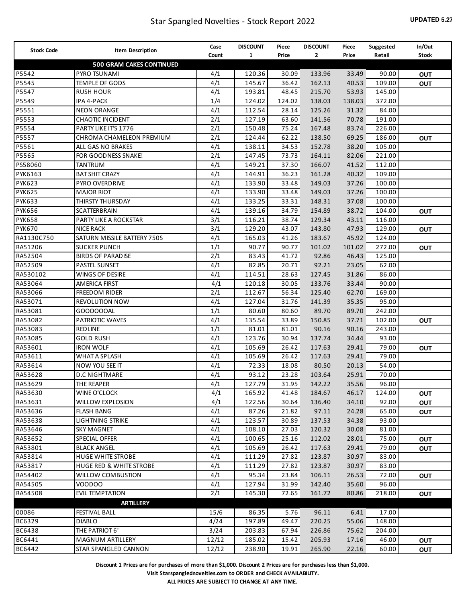| <b>Stock Code</b> |                                    | Case  | <b>DISCOUNT</b> | Piece  | <b>DISCOUNT</b> | Piece  | Suggested | In/Out     |
|-------------------|------------------------------------|-------|-----------------|--------|-----------------|--------|-----------|------------|
|                   | Item Description                   | Count | $\mathbf{1}$    | Price  | 2               | Price  | Retail    | Stock      |
|                   | <b>500 GRAM CAKES CONTINUED</b>    |       |                 |        |                 |        |           |            |
| P5542             | PYRO TSUNAMI                       | 4/1   | 120.36          | 30.09  | 133.96          | 33.49  | 90.00     | <b>OUT</b> |
| P5545             | TEMPLE OF GODS                     | 4/1   | 145.67          | 36.42  | 162.13          | 40.53  | 109.00    | <b>OUT</b> |
| P5547             | <b>RUSH HOUR</b>                   | 4/1   | 193.81          | 48.45  | 215.70          | 53.93  | 145.00    |            |
| P5549             | IPA 4-PACK                         | 1/4   | 124.02          | 124.02 | 138.03          | 138.03 | 372.00    |            |
| P5551             | <b>NEON ORANGE</b>                 | 4/1   | 112.54          | 28.14  | 125.26          | 31.32  | 84.00     |            |
| P5553             | <b>CHAOTIC INCIDENT</b>            | 2/1   | 127.19          | 63.60  | 141.56          | 70.78  | 191.00    |            |
| P5554             | PARTY LIKE IT'S 1776               | 2/1   | 150.48          | 75.24  | 167.48          | 83.74  | 226.00    |            |
| P5557             | CHROMA CHAMELEON PREMIUM           | 2/1   | 124.44          | 62.22  | 138.50          | 69.25  | 186.00    | <b>OUT</b> |
| P5561             | ALL GAS NO BRAKES                  | 4/1   | 138.11          | 34.53  | 152.78          | 38.20  | 105.00    |            |
| P5565             | FOR GOODNESS SNAKE!                | 2/1   | 147.45          | 73.73  | 164.11          | 82.06  | 221.00    |            |
| PS58060           | TANTRUM                            | 4/1   | 149.21          | 37.30  | 166.07          | 41.52  | 112.00    |            |
| PYK6163           | <b>BAT SHIT CRAZY</b>              | 4/1   | 144.91          | 36.23  | 161.28          | 40.32  | 109.00    |            |
| <b>PYK623</b>     | PYRO OVERDRIVE                     | 4/1   | 133.90          | 33.48  | 149.03          | 37.26  | 100.00    |            |
| <b>PYK625</b>     | <b>MAJOR RIOT</b>                  | 4/1   | 133.90          | 33.48  | 149.03          | 37.26  | 100.00    |            |
| <b>PYK633</b>     | THIRSTY THURSDAY                   | 4/1   | 133.25          | 33.31  | 148.31          | 37.08  | 100.00    |            |
| <b>PYK656</b>     | <b>SCATTERBRAIN</b>                | 4/1   | 139.16          | 34.79  | 154.89          | 38.72  | 104.00    | <b>OUT</b> |
| <b>PYK658</b>     | PARTY LIKE A ROCKSTAR              | 3/1   | 116.21          | 38.74  | 129.34          | 43.11  | 116.00    |            |
| <b>PYK670</b>     | <b>NICE RACK</b>                   | 3/1   | 129.20          | 43.07  | 143.80          | 47.93  | 129.00    | Ουτ        |
| RA1130C750        | SATURN MISSILE BATTERY 750S        | 4/1   | 165.03          | 41.26  | 183.67          | 45.92  | 124.00    |            |
| RA51206           | <b>SUCKER PUNCH</b>                | 1/1   | 90.77           | 90.77  | 101.02          | 101.02 | 272.00    | Ουτ        |
| RA52504           | <b>BIRDS OF PARADISE</b>           | 2/1   | 83.43           | 41.72  | 92.86           | 46.43  | 125.00    |            |
| RA52509           | <b>PASTEL SUNSET</b>               | 4/1   | 82.85           | 20.71  | 92.21           | 23.05  | 62.00     |            |
| RA530102          | WINGS OF DESIRE                    | 4/1   | 114.51          | 28.63  | 127.45          | 31.86  | 86.00     |            |
| RA53064           | <b>AMERICA FIRST</b>               | 4/1   | 120.18          | 30.05  | 133.76          | 33.44  | 90.00     |            |
| RA53066           | <b>FREEDOM RIDER</b>               | 2/1   | 112.67          | 56.34  | 125.40          | 62.70  | 169.00    |            |
| RA53071           | <b>REVOLUTION NOW</b>              | 4/1   | 127.04          | 31.76  | 141.39          | 35.35  | 95.00     |            |
| RA53081           | GO00000AL                          | 1/1   | 80.60           | 80.60  | 89.70           | 89.70  | 242.00    |            |
| RA53082           | PATRIOTIC WAVES                    | 4/1   | 135.54          | 33.89  | 150.85          | 37.71  | 102.00    | Ουτ        |
| RA53083           | <b>REDLINE</b>                     | 1/1   | 81.01           | 81.01  | 90.16           | 90.16  | 243.00    |            |
| RA53085           | <b>GOLD RUSH</b>                   | 4/1   | 123.76          | 30.94  | 137.74          | 34.44  | 93.00     |            |
| RA53601           | <b>IRON WOLF</b>                   | 4/1   | 105.69          | 26.42  | 117.63          | 29.41  | 79.00     | <b>OUT</b> |
| RA53611           | WHAT A SPLASH                      | 4/1   | 105.69          | 26.42  | 117.63          | 29.41  | 79.00     |            |
| RA53614           | NOW YOU SEE IT                     | 4/1   | 72.33           | 18.08  | 80.50           | 20.13  | 54.00     |            |
| RA53628           | <b>D.C NIGHTMARE</b>               | 4/1   | 93.12           | 23.28  | 103.64          | 25.91  | 70.00     |            |
| RA53629           | THE REAPER                         | 4/1   | 127.79          | 31.95  | 142.22          | 35.56  | 96.00     |            |
| RA53630           | WINE O'CLOCK                       | 4/1   | 165.92          | 41.48  | 184.67          | 46.17  | 124.00    | <b>OUT</b> |
| RA53631           | <b>WILLOW EXPLOSION</b>            | 4/1   | 122.56          | 30.64  | 136.40          | 34.10  | 92.00     | OUT        |
| RA53636           | FLASH BANG                         | 4/1   | 87.26           | 21.82  | 97.11           | 24.28  | 65.00     | OUT        |
| RA53638           | <b>LIGHTNING STRIKE</b>            | 4/1   | 123.57          | 30.89  | 137.53          | 34.38  | 93.00     |            |
| RA53646           | <b>SKY MAGNET</b>                  | 4/1   | 108.10          | 27.03  | 120.32          | 30.08  | 81.00     |            |
| RA53652           | SPECIAL OFFER                      | 4/1   | 100.65          | 25.16  | 112.02          | 28.01  | 75.00     | <b>OUT</b> |
| RA53801           | <b>BLACK ANGEL</b>                 | 4/1   | 105.69          | 26.42  | 117.63          | 29.41  | 79.00     | <b>OUT</b> |
| RA53814           | <b>HUGE WHITE STROBE</b>           | 4/1   | 111.29          | 27.82  | 123.87          | 30.97  | 83.00     |            |
| RA53817           | <b>HUGE RED &amp; WHITE STROBE</b> | 4/1   | 111.29          | 27.82  | 123.87          | 30.97  | 83.00     |            |
| RA54402           | <b>WILLOW COMBUSTION</b>           | 4/1   | 95.34           | 23.84  | 106.11          | 26.53  | 72.00     | Ουτ        |
| RA54505           | VOODOO                             | 4/1   | 127.94          | 31.99  | 142.40          | 35.60  | 96.00     |            |
| RA54508           | <b>EVIL TEMPTATION</b>             | 2/1   | 145.30          | 72.65  | 161.72          | 80.86  | 218.00    | Ουτ        |
|                   | <b>ARTILLERY</b>                   |       |                 |        |                 |        |           |            |
| 00086             | <b>FESTIVAL BALL</b>               | 15/6  | 86.35           | 5.76   | 96.11           | 6.41   | 17.00     |            |
| BC6329            | <b>DIABLO</b>                      | 4/24  | 197.89          | 49.47  | 220.25          | 55.06  | 148.00    |            |
| BC6438            | THE PATRIOT 6"                     | 3/24  | 203.83          | 67.94  | 226.86          | 75.62  | 204.00    |            |
| BC6441            | MAGNUM ARTILLERY                   | 12/12 | 185.02          | 15.42  | 205.93          | 17.16  | 46.00     | OUT        |
| BC6442            | STAR SPANGLED CANNON               | 12/12 | 238.90          | 19.91  | 265.90          | 22.16  | 60.00     | <b>OUT</b> |
|                   |                                    |       |                 |        |                 |        |           |            |

**Visit Starspanglednovelties.com to ORDER and CHECK AVAILABILITY.**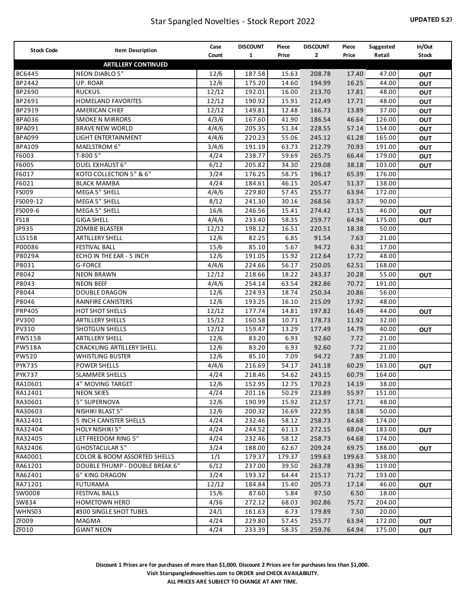| <b>Stock Code</b> | Item Description                        | Case  | <b>DISCOUNT</b> | Piece  | <b>DISCOUNT</b> | Piece  | Suggested | In/Out       |
|-------------------|-----------------------------------------|-------|-----------------|--------|-----------------|--------|-----------|--------------|
|                   |                                         | Count | $\mathbf{1}$    | Price  | 2               | Price  | Retail    | <b>Stock</b> |
|                   | <b>ARTILLERY CONTINUED</b>              |       |                 |        |                 |        |           |              |
| BC6445            | <b>NEON DIABLO 5"</b>                   | 12/6  | 187.58          | 15.63  | 208.78          | 17.40  | 47.00     | <b>OUT</b>   |
| BP2442            | UP. ROAR                                | 12/6  | 175.20          | 14.60  | 194.99          | 16.25  | 44.00     | <b>OUT</b>   |
| BP2690            | <b>RUCKUS</b>                           | 12/12 | 192.01          | 16.00  | 213.70          | 17.81  | 48.00     | <b>OUT</b>   |
| BP2691            | HOMELAND FAVORITES                      | 12/12 | 190.92          | 15.91  | 212.49          | 17.71  | 48.00     | <b>OUT</b>   |
| BP2919            | <b>AMERICAN CHIEF</b>                   | 12/12 | 149.81          | 12.48  | 166.73          | 13.89  | 37.00     | OUT          |
| <b>BPA036</b>     | <b>SMOKE N MIRRORS</b>                  | 4/3/6 | 167.60          | 41.90  | 186.54          | 46.64  | 126.00    | OUT          |
| <b>BPA091</b>     | <b>BRAVE NEW WORLD</b>                  | 4/4/6 | 205.35          | 51.34  | 228.55          | 57.14  | 154.00    | OUT          |
| <b>BPA099</b>     | LIGHT ENTERTAINMENT                     | 4/4/6 | 220.23          | 55.06  | 245.12          | 61.28  | 165.00    | OUT          |
| <b>BPA109</b>     | MAELSTROM 6"                            | 3/4/6 | 191.19          | 63.73  | 212.79          | 70.93  | 191.00    | OUT          |
| F6003             | T-800 5"                                | 4/24  | 238.77          | 59.69  | 265.75          | 66.44  | 179.00    | <b>OUT</b>   |
| F6005             | DUEL EXHAUST 6"                         | 6/12  | 205.82          | 34.30  | 229.08          | 38.18  | 103.00    | <b>OUT</b>   |
| F6017             | KOTO COLLECTION 5" & 6"                 | 3/24  | 176.25          | 58.75  | 196.17          | 65.39  | 176.00    |              |
| F6021             | <b>BLACK MAMBA</b>                      | 4/24  | 184.61          | 46.15  | 205.47          | 51.37  | 138.00    |              |
| FS009             | MEGA 5" SHELL                           | 4/4/6 | 229.80          | 57.45  | 255.77          | 63.94  | 172.00    |              |
| FS009-12          | MEGA 5" SHELL                           | 8/12  | 241.30          | 30.16  | 268.56          | 33.57  | 90.00     |              |
| FS009-6           | MEGA 5" SHELL                           | 16/6  | 246.56          | 15.41  | 274.42          | 17.15  | 46.00     | <b>OUT</b>   |
| <b>FS18</b>       | <b>GIGA SHELL</b>                       | 4/4/6 | 233.40          | 58.35  | 259.77          | 64.94  | 175.00    | <b>OUT</b>   |
| JP935             | <b>ZOMBIE BLASTER</b>                   | 12/12 | 198.12          | 16.51  | 220.51          | 18.38  | 50.00     |              |
| LS515B            | <b>ARTILLERY SHELL</b>                  | 12/6  | 82.25           | 6.85   | 91.54           | 7.63   | 21.00     |              |
| P00086            | <b>FESTIVAL BALL</b>                    | 15/6  | 85.10           | 5.67   | 94.72           | 6.31   | 17.00     |              |
| P8029A            | ECHO IN THE EAR - 5 INCH                | 12/6  | 191.05          | 15.92  | 212.64          | 17.72  | 48.00     |              |
| P8031             | <b>G-FORCE</b>                          | 4/4/6 | 224.66          | 56.17  | 250.05          | 62.51  | 168.00    |              |
| P8042             | <b>NEON BRAWN</b>                       | 12/12 | 218.66          | 18.22  | 243.37          | 20.28  | 55.00     | <b>OUT</b>   |
| P8043             | <b>NEON BEEF</b>                        | 4/4/6 | 254.14          | 63.54  | 282.86          | 70.72  | 191.00    |              |
| P8044             | <b>DOUBLE DRAGON</b>                    | 12/6  | 224.93          | 18.74  | 250.34          | 20.86  | 56.00     |              |
| P8046             | <b>RAINFIRE CANISTERS</b>               | 12/6  | 193.25          | 16.10  | 215.09          | 17.92  | 48.00     |              |
| <b>PRP405</b>     | <b>HOT SHOT SHELLS</b>                  | 12/12 | 177.74          | 14.81  | 197.82          | 16.49  | 44.00     | <b>OUT</b>   |
| PV300             | <b>ARTILLERY SHELLS</b>                 | 15/12 | 160.58          | 10.71  | 178.73          | 11.92  | 32.00     |              |
| PV310             | <b>SHOTGUN SHELLS</b>                   | 12/12 | 159.47          | 13.29  | 177.49          | 14.79  | 40.00     | <b>OUT</b>   |
| <b>PW515B</b>     | <b>ARTILLERY SHELL</b>                  | 12/6  | 83.20           | 6.93   | 92.60           | 7.72   | 21.00     |              |
| <b>PW518A</b>     | <b>CRACKLING ARTILLERY SHELL</b>        | 12/6  | 83.20           | 6.93   | 92.60           | 7.72   | 21.00     |              |
| PW520             | <b>WHISTLING BUSTER</b>                 | 12/6  | 85.10           | 7.09   | 94.72           | 7.89   | 21.00     |              |
| <b>PYK735</b>     | <b>POWER SHELLS</b>                     | 4/4/6 | 216.69          | 54.17  | 241.18          | 60.29  | 163.00    | <b>OUT</b>   |
| <b>PYK737</b>     | <b>SLAMMER SHELLS</b>                   | 4/24  | 218.46          | 54.62  | 243.15          | 60.79  | 164.00    |              |
| RA10601           | 4" MOVING TARGET                        | 12/6  | 152.95          | 12.75  | 170.23          | 14.19  | 38.00     |              |
| RA12401           | NEON SKIES                              | 4/24  | 201.16          | 50.29  | 223.89          | 55.97  | 151.00    |              |
| RA30601           | 5" SUPERNOVA                            | 12/6  | 190.99          | 15.92  | 212.57          | 17.71  | 48.00     |              |
| RA30603           | NISHIKI BLAST 5"                        | 12/6  | 200.32          | 16.69  | 222.95          | 18.58  | 50.00     |              |
| RA32401           | 5 INCH CANISTER SHELLS                  | 4/24  | 232.46          | 58.12  | 258.73          | 64.68  | 174.00    |              |
| RA32404           | HOLY NISHIKI 5"                         | 4/24  | 244.52          | 61.13  | 272.15          | 68.04  | 183.00    | <b>OUT</b>   |
| RA32405           | LET FREEDOM RING 5"                     | 4/24  | 232.46          | 58.12  | 258.73          | 64.68  | 174.00    |              |
| RA32406           | <b>GHOSTACULAR 5"</b>                   | 3/24  | 188.00          | 62.67  | 209.24          | 69.75  | 188.00    | <b>OUT</b>   |
| RA40001           | <b>COLOR &amp; BOOM ASSORTED SHELLS</b> | 1/1   | 179.37          | 179.37 | 199.63          | 199.63 | 538.00    |              |
| RA61201           | DOUBLE THUMP - DOUBLE BREAK 6"          | 6/12  | 237.00          | 39.50  | 263.78          | 43.96  | 119.00    |              |
| RA62401           | 6" KING DRAGON                          | 3/24  | 193.32          | 64.44  | 215.17          | 71.72  | 193.00    |              |
| RA71201           | <b>FUTURAMA</b>                         | 12/12 | 184.84          | 15.40  | 205.73          | 17.14  | 46.00     |              |
| SW0008            |                                         |       |                 | 5.84   | 97.50           | 6.50   | 18.00     | <b>OUT</b>   |
|                   | FESTIVAL BALLS                          | 15/6  | 87.60           |        |                 |        |           |              |
| SW834             | <b>HOMETOWN HERO</b>                    | 4/36  | 272.12          | 68.03  | 302.86          | 75.72  | 204.00    |              |
| WHNS03            | #300 SINGLE SHOT TUBES                  | 24/1  | 161.63          | 6.73   | 179.89          | 7.50   | 20.00     |              |
| ZFOO9             | MAGMA                                   | 4/24  | 229.80          | 57.45  | 255.77          | 63.94  | 172.00    | <b>OUT</b>   |
| ZF010             | <b>GIANT NEON</b>                       | 4/24  | 233.39          | 58.35  | 259.76          | 64.94  | 175.00    | <b>OUT</b>   |

**Discount 1 Prices are for purchases of more than \$1,000. Discount 2 Prices are for purchases less than \$1,000. Visit Starspanglednovelties.com to ORDER and CHECK AVAILABILITY. ALL PRICES ARE SUBJECT TO CHANGE AT ANY TIME.**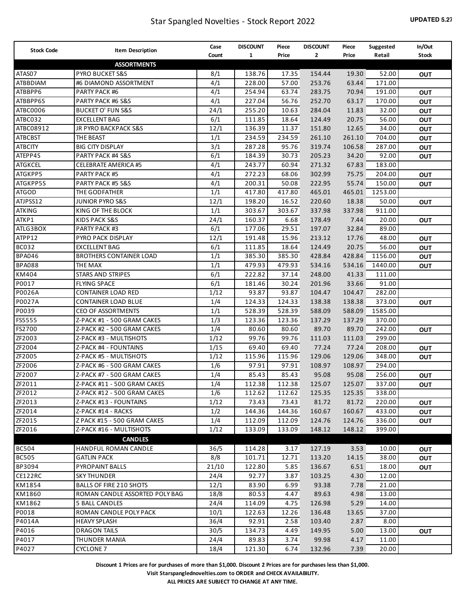| <b>Stock Code</b> |                                | Case  | <b>DISCOUNT</b> | Piece  | <b>DISCOUNT</b> | Piece  | Suggested | In/Out       |
|-------------------|--------------------------------|-------|-----------------|--------|-----------------|--------|-----------|--------------|
|                   | Item Description               | Count | $\mathbf{1}$    | Price  | 2               | Price  | Retail    | <b>Stock</b> |
|                   | <b>ASSORTMENTS</b>             |       |                 |        |                 |        |           |              |
| ATAS07            | PYRO BUCKET S&S                | 8/1   | 138.76          | 17.35  | 154.44          | 19.30  | 52.00     | <b>OUT</b>   |
| ATBBDIAM          | #6 DIAMOND ASSORTMENT          | 4/1   | 228.00          | 57.00  | 253.76          | 63.44  | 171.00    |              |
| ATBBPP6           | PARTY PACK #6                  | 4/1   | 254.94          | 63.74  | 283.75          | 70.94  | 191.00    | <b>OUT</b>   |
| ATBBPP6S          | PARTY PACK #6 S&S              | 4/1   | 227.04          | 56.76  | 252.70          | 63.17  | 170.00    | <b>OUT</b>   |
| ATBC0006          | <b>BUCKET O' FUN S&amp;S</b>   | 24/1  | 255.20          | 10.63  | 284.04          | 11.83  | 32.00     | <b>OUT</b>   |
| ATBC032           | <b>EXCELLENT BAG</b>           | 6/1   | 111.85          | 18.64  | 124.49          | 20.75  | 56.00     | <b>OUT</b>   |
| ATBC08912         | JR PYRO BACKPACK S&S           | 12/1  | 136.39          | 11.37  | 151.80          | 12.65  | 34.00     | <b>OUT</b>   |
| <b>ATBCBST</b>    | THE BEAST                      | 1/1   | 234.59          | 234.59 | 261.10          | 261.10 | 704.00    | <b>OUT</b>   |
| <b>ATBCITY</b>    | <b>BIG CITY DISPLAY</b>        | 3/1   | 287.28          | 95.76  | 319.74          | 106.58 | 287.00    | <b>OUT</b>   |
| ATEPP4S           | PARTY PACK #4 S&S              | 6/1   | 184.39          | 30.73  | 205.23          | 34.20  | 92.00     | <b>OUT</b>   |
| ATGKCEL           | <b>CELEBRATE AMERICA #5</b>    | 4/1   | 243.77          | 60.94  | 271.32          | 67.83  | 183.00    |              |
| ATGKPP5           | PARTY PACK #5                  | 4/1   | 272.23          | 68.06  | 302.99          | 75.75  | 204.00    | <b>OUT</b>   |
| ATGKPP5S          | PARTY PACK #5 S&S              | 4/1   | 200.31          | 50.08  | 222.95          | 55.74  | 150.00    | <b>OUT</b>   |
| ATGOD             | THE GODFATHER                  | 1/1   | 417.80          | 417.80 | 465.01          | 465.01 | 1253.00   |              |
| ATJPSS12          | <b>JUNIOR PYRO S&amp;S</b>     | 12/1  | 198.20          | 16.52  | 220.60          | 18.38  | 50.00     | <b>OUT</b>   |
| <b>ATKING</b>     | KING OF THE BLOCK              | 1/1   | 303.67          | 303.67 | 337.98          | 337.98 | 911.00    |              |
| ATKP1             | <b>KIDS PACK S&amp;S</b>       | 24/1  | 160.37          | 6.68   | 178.49          | 7.44   | 20.00     | <b>OUT</b>   |
| ATLG3BOX          | PARTY PACK #3                  | 6/1   | 177.06          | 29.51  | 197.07          | 32.84  | 89.00     |              |
| ATPP12            | PYRO PACK DISPLAY              | 12/1  | 191.48          | 15.96  | 213.12          | 17.76  | 48.00     | OUT          |
| <b>BC032</b>      | <b>EXCELLENT BAG</b>           | 6/1   | 111.85          | 18.64  | 124.49          | 20.75  | 56.00     | <b>OUT</b>   |
| <b>BPA046</b>     | <b>BROTHERS CONTAINER LOAD</b> | 1/1   | 385.30          | 385.30 | 428.84          | 428.84 | 1156.00   | <b>OUT</b>   |
| <b>BPA088</b>     | THE MAX                        | 1/1   | 479.93          | 479.93 | 534.16          | 534.16 | 1440.00   | <b>OUT</b>   |
| KM404             | STARS AND STRIPES              | 6/1   | 222.82          | 37.14  | 248.00          | 41.33  | 111.00    |              |
| P0017             | <b>FLYING SPACE</b>            | 6/1   | 181.46          | 30.24  | 201.96          | 33.66  | 91.00     |              |
| P0026A            | <b>CONTAINER LOAD RED</b>      | 1/12  | 93.87           | 93.87  | 104.47          | 104.47 | 282.00    |              |
| P0027A            | <b>CONTAINER LOAD BLUE</b>     | 1/4   | 124.33          | 124.33 | 138.38          | 138.38 | 373.00    | <b>OUT</b>   |
| P0039             | <b>CEO OF ASSORTMENTS</b>      | 1/1   | 528.39          | 528.39 | 588.09          | 588.09 | 1585.00   |              |
| FS5555            | Z-PACK #1 - 500 GRAM CAKES     | 1/3   | 123.36          | 123.36 | 137.29          | 137.29 | 370.00    |              |
| FS2700            | Z-PACK #2 - 500 GRAM CAKES     | 1/4   | 80.60           | 80.60  | 89.70           | 89.70  | 242.00    | <b>OUT</b>   |
| ZF2003            | Z-PACK #3 - MULTISHOTS         | 1/12  | 99.76           | 99.76  | 111.03          | 111.03 | 299.00    |              |
| ZF2004            | Z-PACK #4 - FOUNTAINS          | 1/15  | 69.40           | 69.40  | 77.24           | 77.24  | 208.00    | <b>OUT</b>   |
| ZF2005            | Z-PACK #5 - MULTISHOTS         | 1/12  | 115.96          | 115.96 | 129.06          | 129.06 | 348.00    | <b>OUT</b>   |
| ZF2006            | Z-PACK #6 - 500 GRAM CAKES     | 1/6   | 97.91           | 97.91  | 108.97          | 108.97 | 294.00    |              |
| ZF2007            | Z-PACK #7 - 500 GRAM CAKES     | 1/4   | 85.43           | 85.43  | 95.08           | 95.08  | 256.00    | OUT          |
| ZF2011            | Z-PACK #11 - 500 GRAM CAKES    | 1/4   | 112.38          | 112.38 | 125.07          | 125.07 | 337.00    | <b>OUT</b>   |
| ZF2012            | Z-PACK #12 - 500 GRAM CAKES    | 1/6   | 112.62          | 112.62 | 125.35          | 125.35 | 338.00    |              |
| ZF2013            | Z-PACK #13 - FOUNTAINS         | 1/12  | 73.43           | 73.43  | 81.72           | 81.72  | 220.00    | <b>OUT</b>   |
| ZF2014            | Z-PACK #14 - RACKS             | 1/2   | 144.36          | 144.36 | 160.67          | 160.67 | 433.00    | OUT          |
| ZF2015            | Z PACK #15 - 500 GRAM CAKES    | 1/4   | 112.09          | 112.09 | 124.76          | 124.76 | 336.00    | OUT          |
| ZF2016            | Z-PACK #16 - MULTISHOTS        | 1/12  | 133.09          | 133.09 | 148.12          | 148.12 | 399.00    |              |
|                   | <b>CANDLES</b>                 |       |                 |        |                 |        |           |              |
| <b>BC504</b>      | <b>HANDFUL ROMAN CANDLE</b>    | 36/5  | 114.28          | 3.17   | 127.19          | 3.53   | 10.00     | <b>OUT</b>   |
| <b>BC505</b>      | <b>GATLIN PACK</b>             | 8/8   | 101.71          | 12.71  | 113.20          | 14.15  | 38.00     | <b>OUT</b>   |
| BP3094            | <b>PYROPAINT BALLS</b>         | 21/10 | 122.80          | 5.85   | 136.67          | 6.51   | 18.00     | <b>OUT</b>   |
| CE122RC           | <b>SKY THUNDER</b>             | 24/4  | 92.77           | 3.87   | 103.25          | 4.30   | 12.00     |              |
| KM1854            | BALLS OF FIRE 210 SHOTS        | 12/1  | 83.90           | 6.99   | 93.38           | 7.78   | 21.00     |              |
| KM1860            | ROMAN CANDLE ASSORTED POLY BAG | 18/8  | 80.53           | 4.47   | 89.63           | 4.98   | 13.00     |              |
| KM1862            | 5 BALL CANDLES                 | 24/4  | 114.09          | 4.75   | 126.98          | 5.29   | 14.00     |              |
| P0018             | ROMAN CANDLE POLY PACK         | 10/1  | 122.63          | 12.26  | 136.48          | 13.65  | 37.00     |              |
| P4014A            | <b>HEAVY SPLASH</b>            | 36/4  | 92.91           | 2.58   | 103.40          | 2.87   | 8.00      |              |
| P4016             | <b>DRAGON TAILS</b>            | 30/5  | 134.73          | 4.49   | 149.95          | 5.00   | 13.00     | <b>OUT</b>   |
| P4017             | THUNDER MANIA                  | 24/4  | 89.83           | 3.74   | 99.98           | 4.17   | 11.00     |              |
| P4027             | <b>CYCLONE 7</b>               | 18/4  | 121.30          | 6.74   | 132.96          | 7.39   | 20.00     |              |
|                   |                                |       |                 |        |                 |        |           |              |

**Visit Starspanglednovelties.com to ORDER and CHECK AVAILABILITY.**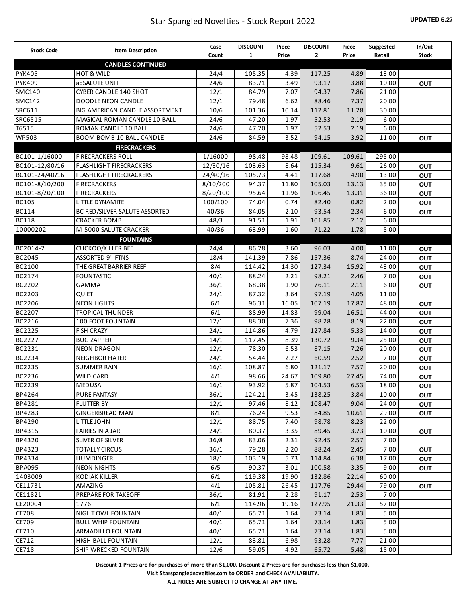| <b>Stock Code</b> | Item Description                | Case     | <b>DISCOUNT</b> | Piece | <b>DISCOUNT</b> | Piece  | Suggested | In/Out       |
|-------------------|---------------------------------|----------|-----------------|-------|-----------------|--------|-----------|--------------|
|                   |                                 | Count    | 1               | Price | $\mathbf{2}$    | Price  | Retail    | <b>Stock</b> |
|                   | <b>CANDLES CONTINUED</b>        |          |                 |       |                 |        |           |              |
| <b>PYK405</b>     | <b>HOT &amp; WILD</b>           | 24/4     | 105.35          | 4.39  | 117.25          | 4.89   | 13.00     |              |
| <b>PYK409</b>     | abSALUTE UNIT                   | 24/6     | 83.71           | 3.49  | 93.17           | 3.88   | 10.00     | OUT          |
| <b>SMC140</b>     | CYBER CANDLE 140 SHOT           | 12/1     | 84.79           | 7.07  | 94.37           | 7.86   | 21.00     |              |
| <b>SMC142</b>     | <b>DOODLE NEON CANDLE</b>       | 12/1     | 79.48           | 6.62  | 88.46           | 7.37   | 20.00     |              |
| SRC611            | BIG AMERICAN CANDLE ASSORTMENT  | 10/6     | 101.36          | 10.14 | 112.81          | 11.28  | 30.00     |              |
| SRC6515           | MAGICAL ROMAN CANDLE 10 BALL    | 24/6     | 47.20           | 1.97  | 52.53           | 2.19   | 6.00      |              |
| T6515             | <b>ROMAN CANDLE 10 BALL</b>     | 24/6     | 47.20           | 1.97  | 52.53           | 2.19   | 6.00      |              |
| <b>WP503</b>      | <b>BOOM BOMB 10 BALL CANDLE</b> | 24/6     | 84.59           | 3.52  | 94.15           | 3.92   | 11.00     | OUT          |
|                   | <b>FIRECRACKERS</b>             |          |                 |       |                 |        |           |              |
| BC101-1/16000     | <b>FIRECRACKERS ROLL</b>        | 1/16000  | 98.48           | 98.48 | 109.61          | 109.61 | 295.00    |              |
| BC101-12/80/16    | <b>FLASHLIGHT FIRECRACKERS</b>  | 12/80/16 | 103.63          | 8.64  | 115.34          | 9.61   | 26.00     | <b>OUT</b>   |
| BC101-24/40/16    | <b>FLASHLIGHT FIRECRACKERS</b>  | 24/40/16 | 105.73          | 4.41  | 117.68          | 4.90   | 13.00     | OUT          |
| BC101-8/10/200    | <b>FIRECRACKERS</b>             | 8/10/200 | 94.37           | 11.80 | 105.03          | 13.13  | 35.00     | OUT          |
| BC101-8/20/100    | <b>FIRECRACKERS</b>             | 8/20/100 | 95.64           | 11.96 | 106.45          | 13.31  | 36.00     | OUT          |
| <b>BC105</b>      | LITTLE DYNAMITE                 | 100/100  | 74.04           | 0.74  | 82.40           | 0.82   | 2.00      | <b>OUT</b>   |
| <b>BC114</b>      | BC RED/SILVER SALUTE ASSORTED   | 40/36    | 84.05           | 2.10  | 93.54           | 2.34   | 6.00      | <b>OUT</b>   |
| <b>BC118</b>      | <b>CRACKER BOMB</b>             | 48/3     | 91.51           | 1.91  | 101.85          | 2.12   | 6.00      |              |
| 10000202          | M-5000 SALUTE CRACKER           | 40/36    | 63.99           | 1.60  | 71.22           | 1.78   | 5.00      |              |
|                   | <b>FOUNTAINS</b>                |          |                 |       |                 |        |           |              |
| BC2014-2          | <b>CUCKOO/KILLER BEE</b>        | 24/4     | 86.28           | 3.60  | 96.03           | 4.00   | 11.00     | OUT          |
| BC2045            | <b>ASSORTED 9" FTNS</b>         | 18/4     | 141.39          | 7.86  | 157.36          | 8.74   | 24.00     | OUT          |
| BC2100            | THE GREAT BARRIER REEF          | 8/4      | 114.42          | 14.30 | 127.34          | 15.92  | 43.00     | OUT          |
| BC2174            | <b>FOUNTASTIC</b>               | 40/1     | 88.24           | 2.21  | 98.21           | 2.46   | 7.00      | OUT          |
| BC2202            | GAMMA                           | 36/1     | 68.38           | 1.90  | 76.11           | 2.11   | 6.00      | OUT          |
| BC2203            | <b>QUIET</b>                    | 24/1     | 87.32           | 3.64  | 97.19           | 4.05   | 11.00     |              |
| BC2206            | <b>NEON LIGHTS</b>              | 6/1      | 96.31           | 16.05 | 107.19          | 17.87  | 48.00     | OUT          |
| BC2207            | <b>TROPICAL THUNDER</b>         | 6/1      | 88.99           | 14.83 | 99.04           | 16.51  | 44.00     | OUT          |
| BC2216            | 100 FOOT FOUNTAIN               | 12/1     | 88.30           | 7.36  | 98.28           | 8.19   | 22.00     | OUT          |
| BC2225            | <b>FISH CRAZY</b>               | 24/1     | 114.86          | 4.79  | 127.84          | 5.33   | 14.00     | OUT          |
| BC2227            | <b>BUG ZAPPER</b>               | 14/1     | 117.45          | 8.39  | 130.72          | 9.34   | 25.00     | OUT          |
| BC2231            | <b>NEON DRAGON</b>              | 12/1     | 78.30           | 6.53  | 87.15           | 7.26   | 20.00     | OUT          |
| BC2234            | <b>NEIGHBOR HATER</b>           | 24/1     | 54.44           | 2.27  | 60.59           | 2.52   | 7.00      | OUT          |
| BC2235            | <b>SUMMER RAIN</b>              | 16/1     | 108.87          | 6.80  | 121.17          | 7.57   | 20.00     | OUT          |
| BC2236            | <b>WILD CARD</b>                | 4/1      | 98.66           | 24.67 | 109.80          | 27.45  | 74.00     | OUT          |
| BC2239            | MEDUSA                          | 16/1     | 93.92           | 5.87  | 104.53          | 6.53   | 18.00     | <b>OUT</b>   |
| BP4264            | PURE FANTASY                    | 36/1     | 124.21          | 3.45  | 138.25          | 3.84   | 10.00     | <b>OUT</b>   |
| BP4281            | FLUTTER BY                      | 12/1     | 97.46           | 8.12  | 108.47          | 9.04   | 24.00     | OUT          |
| BP4283            | <b>GINGERBREAD MAN</b>          | 8/1      | 76.24           | 9.53  | 84.85           | 10.61  | 29.00     | OUT          |
| BP4290            | LITTLE JOHN                     | 12/1     | 88.75           | 7.40  | 98.78           | 8.23   | 22.00     |              |
| BP4315            | <b>FAIRIES IN A JAR</b>         | 24/1     | 80.37           | 3.35  | 89.45           | 3.73   | 10.00     | OUT          |
| BP4320            | SLIVER OF SILVER                | 36/8     | 83.06           | 2.31  | 92.45           | 2.57   | 7.00      |              |
| BP4323            | <b>TOTALLY CIRCUS</b>           | 36/1     | 79.28           | 2.20  | 88.24           | 2.45   | 7.00      | OUT          |
| BP4334            | HUMDINGER                       | 18/1     | 103.19          | 5.73  | 114.84          | 6.38   | 17.00     | OUT          |
| <b>BPA095</b>     | <b>NEON NIGHTS</b>              | 6/5      | 90.37           | 3.01  | 100.58          | 3.35   | 9.00      | OUT          |
| 1403009           | <b>KODIAK KILLER</b>            | 6/1      | 119.38          | 19.90 | 132.86          | 22.14  | 60.00     |              |
| CE11731           | AMAZING                         | 4/1      | 105.81          | 26.45 | 117.76          | 29.44  | 79.00     | OUT          |
| CE11821           | PREPARE FOR TAKEOFF             | 36/1     | 81.91           | 2.28  | 91.17           | 2.53   | 7.00      |              |
| CE20004           | 1776                            | 6/1      | 114.96          | 19.16 | 127.95          | 21.33  | 57.00     |              |
| CE708             | NIGHT OWL FOUNTAIN              | 40/1     | 65.71           | 1.64  | 73.14           | 1.83   | 5.00      |              |
| CE709             | <b>BULL WHIP FOUNTAIN</b>       | 40/1     | 65.71           | 1.64  | 73.14           | 1.83   | 5.00      |              |
| CE710             | ARMADILLO FOUNTAIN              | 40/1     | 65.71           | 1.64  | 73.14           | 1.83   | 5.00      |              |
| CE712             | <b>HIGH BALL FOUNTAIN</b>       | 12/1     | 83.81           | 6.98  | 93.28           | 7.77   | 21.00     |              |
| CE718             | SHIP WRECKED FOUNTAIN           | 12/6     | 59.05           | 4.92  | 65.72           | 5.48   | 15.00     |              |

**Visit Starspanglednovelties.com to ORDER and CHECK AVAILABILITY.**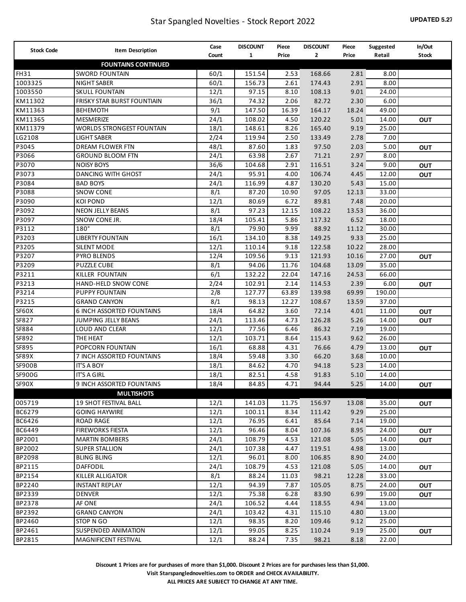| <b>Stock Code</b> | <b>Item Description</b>                                 | Case        | <b>DISCOUNT</b> | Piece         | <b>DISCOUNT</b> | Piece         | Suggested      | In/Out       |
|-------------------|---------------------------------------------------------|-------------|-----------------|---------------|-----------------|---------------|----------------|--------------|
|                   |                                                         | Count       | $\mathbf{1}$    | Price         | 2               | Price         | Retail         | <b>Stock</b> |
|                   | <b>FOUNTAINS CONTINUED</b>                              |             |                 |               |                 |               |                |              |
| <b>FH31</b>       | <b>SWORD FOUNTAIN</b>                                   | 60/1        | 151.54          | 2.53          | 168.66          | 2.81          | 8.00           |              |
| 1003325           | <b>NIGHT SABER</b>                                      | 60/1        | 156.73          | 2.61          | 174.43          | 2.91          | 8.00           |              |
| 1003550           | <b>SKULL FOUNTAIN</b>                                   | 12/1        | 97.15           | 8.10          | 108.13          | 9.01          | 24.00          |              |
| KM11302           | FRISKY STAR BURST FOUNTIAIN                             | 36/1        | 74.32           | 2.06          | 82.72           | 2.30          | 6.00           |              |
| KM11363           | <b>BEHEMOTH</b>                                         | 9/1         | 147.50          | 16.39         | 164.17          | 18.24         | 49.00          |              |
| KM11365           | MESMERIZE                                               | 24/1        | 108.02          | 4.50          | 120.22          | 5.01          | 14.00          | <b>OUT</b>   |
| KM11379           | <b>WORLDS STRONGEST FOUNTAIN</b>                        | 18/1        | 148.61          | 8.26          | 165.40          | 9.19          | 25.00          |              |
| LG2108            | <b>LIGHT SABER</b>                                      | 2/24        | 119.94          | 2.50          | 133.49          | 2.78          | 7.00           |              |
| P3045             | <b>DREAM FLOWER FTN</b>                                 | 48/1        | 87.60           | 1.83          | 97.50           | 2.03          | 5.00           | <b>OUT</b>   |
| P3066             | <b>GROUND BLOOM FTN</b>                                 | 24/1        | 63.98           | 2.67          | 71.21           | 2.97          | 8.00           |              |
| P3070             | <b>NOISY BOYS</b>                                       | 36/6        | 104.68          | 2.91          | 116.51          | 3.24          | 9.00           | <b>OUT</b>   |
| P3073             | <b>DANCING WITH GHOST</b>                               | 24/1        | 95.91           | 4.00          | 106.74          | 4.45          | 12.00          | <b>OUT</b>   |
| P3084             | <b>BAD BOYS</b>                                         | 24/1        | 116.99          | 4.87          | 130.20          | 5.43          | 15.00          |              |
| P3088             | <b>SNOW CONE</b>                                        | 8/1         | 87.20           | 10.90         | 97.05           | 12.13         | 33.00          |              |
| P3090             | <b>KOI POND</b>                                         | 12/1        | 80.69           | 6.72          | 89.81           | 7.48          | 20.00          |              |
| P3092             | <b>NEON JELLY BEANS</b>                                 | 8/1         | 97.23           | 12.15         | 108.22          | 13.53         | 36.00          |              |
| P3097             | SNOW CONE JR.                                           | 18/4        | 105.41          | 5.86          | 117.32          | 6.52          | 18.00          |              |
| P3112             | $180^\circ$<br><b>LIBERTY FOUNTAIN</b>                  | 8/1         | 79.90           | 9.99          | 88.92           | 11.12         | 30.00          |              |
| P3203             |                                                         | 16/1        | 134.10          | 8.38          | 149.25          | 9.33          | 25.00          |              |
| P3205             | <b>SILENT MODE</b>                                      | 12/1        | 110.14          | 9.18          | 122.58          | 10.22         | 28.00          |              |
| P3207             | <b>PYRO BLENDS</b>                                      | 12/4        | 109.56          | 9.13          | 121.93          | 10.16         | 27.00          | <b>OUT</b>   |
| P3209             | <b>PUZZLE CUBE</b>                                      | 8/1         | 94.06           | 11.76         | 104.68          | 13.09         | 35.00          |              |
| P3211             | KILLER FOUNTAIN                                         | 6/1         | 132.22          | 22.04         | 147.16          | 24.53         | 66.00          |              |
| P3213             | <b>HAND-HELD SNOW CONE</b>                              | 2/24        | 102.91          | 2.14          | 114.53          | 2.39          | 6.00           | <b>OUT</b>   |
| P3214             | PUPPY FOUNTAIN                                          | 2/8         | 127.77          | 63.89         | 139.98          | 69.99         | 190.00         |              |
| P3215<br>SF60X    | <b>GRAND CANYON</b><br><b>6 INCH ASSORTED FOUNTAINS</b> | 8/1<br>18/4 | 98.13<br>64.82  | 12.27<br>3.60 | 108.67<br>72.14 | 13.59<br>4.01 | 37.00<br>11.00 |              |
| SF827             | JUMPING JELLY BEANS                                     | 24/1        | 113.46          | 4.73          | 126.28          | 5.26          | 14.00          | <b>OUT</b>   |
| SF884             | LOUD AND CLEAR                                          | 12/1        | 77.56           | 6.46          | 86.32           | 7.19          | 19.00          | <b>OUT</b>   |
| SF892             | THE HEAT                                                | 12/1        | 103.71          | 8.64          | 115.43          | 9.62          | 26.00          |              |
| SF895             | POPCORN FOUNTAIN                                        | 16/1        | 68.88           | 4.31          | 76.66           | 4.79          | 13.00          | <b>OUT</b>   |
| SF89X             | 7 INCH ASSORTED FOUNTAINS                               | 18/4        | 59.48           | 3.30          | 66.20           | 3.68          | 10.00          |              |
| <b>SF900B</b>     | <b>IT'S A BOY</b>                                       | 18/1        | 84.62           | 4.70          | 94.18           | 5.23          | 14.00          |              |
| <b>SF900G</b>     | <b>IT'S A GIRL</b>                                      | 18/1        | 82.51           | 4.58          | 91.83           | 5.10          | 14.00          |              |
| SF90X             | 9 INCH ASSORTED FOUNTAINS                               | 18/4        | 84.85           | 4.71          | 94.44           | 5.25          | 14.00          | <b>OUT</b>   |
|                   | <b>MULTISHOTS</b>                                       |             |                 |               |                 |               |                |              |
| 005719            | <b>19 SHOT FESTIVAL BALL</b>                            | 12/1        | 141.03          | 11.75         | 156.97          | 13.08         | 35.00          | <b>OUT</b>   |
| BC6279            | <b>GOING HAYWIRE</b>                                    | 12/1        | 100.11          | 8.34          | 111.42          | 9.29          | 25.00          |              |
| BC6426            | ROAD RAGE                                               | 12/1        | 76.95           | 6.41          | 85.64           | 7.14          | 19.00          |              |
| BC6449            | <b>FIREWORKS FIESTA</b>                                 | 12/1        | 96.46           | 8.04          | 107.36          | 8.95          | 24.00          | <b>OUT</b>   |
| BP2001            | <b>MARTIN BOMBERS</b>                                   | 24/1        | 108.79          | 4.53          | 121.08          | 5.05          | 14.00          | OUT          |
| BP2002            | <b>SUPER STALLION</b>                                   | 24/1        | 107.38          | 4.47          | 119.51          | 4.98          | 13.00          |              |
| <b>BP2098</b>     | <b>BLING BLING</b>                                      | 12/1        | 96.01           | 8.00          | 106.85          | 8.90          | 24.00          |              |
| BP2115            | <b>DAFFODIL</b>                                         | 24/1        | 108.79          | 4.53          | 121.08          | 5.05          | 14.00          | <b>OUT</b>   |
| BP2154            | KILLER ALLIGATOR                                        | 8/1         | 88.24           | 11.03         | 98.21           | 12.28         | 33.00          |              |
| BP2240            | <b>INSTANT REPLAY</b>                                   | 12/1        | 94.39           | 7.87          | 105.05          | 8.75          | 24.00          | <b>OUT</b>   |
| BP2339            | <b>DENVER</b>                                           | 12/1        | 75.38           | 6.28          | 83.90           | 6.99          | 19.00          | OUT          |
| BP2378            | AF ONE                                                  | 24/1        | 106.52          | 4.44          | 118.55          | 4.94          | 13.00          |              |
| BP2392            | <b>GRAND CANYON</b>                                     | 24/1        | 103.42          | 4.31          | 115.10          | 4.80          | 13.00          |              |
| BP2460            | STOP N GO                                               | 12/1        | 98.35           | 8.20          | 109.46          | 9.12          | 25.00          |              |
| BP2461            | SUSPENDED ANIMATION                                     | 12/1        | 99.05           | 8.25          | 110.24          | 9.19          | 25.00          | <b>OUT</b>   |
| BP2815            | MAGNIFICENT FESTIVAL                                    | 12/1        | 88.24           | 7.35          | 98.21           | 8.18          | 22.00          |              |

**Visit Starspanglednovelties.com to ORDER and CHECK AVAILABILITY.**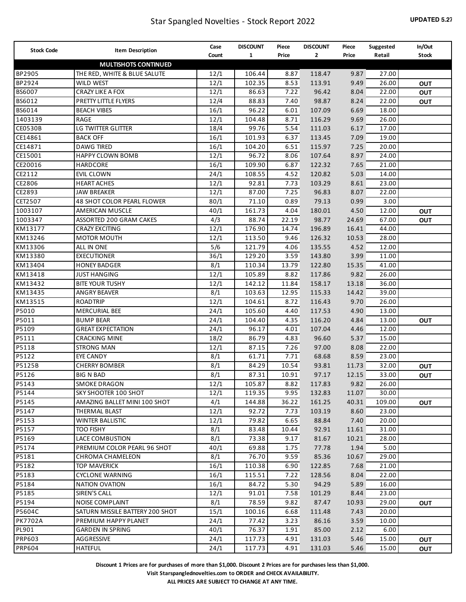| <b>Stock Code</b> | Item Description                | Case  | <b>DISCOUNT</b> | Piece | <b>DISCOUNT</b> | Piece | Suggested | In/Out       |
|-------------------|---------------------------------|-------|-----------------|-------|-----------------|-------|-----------|--------------|
|                   |                                 | Count | $\mathbf{1}$    | Price | $\mathbf{2}$    | Price | Retail    | <b>Stock</b> |
|                   | <b>MULTISHOTS CONTINUED</b>     |       |                 |       |                 |       |           |              |
| BP2905            | THE RED, WHITE & BLUE SALUTE    | 12/1  | 106.44          | 8.87  | 118.47          | 9.87  | 27.00     |              |
| BP2924            | <b>WILD WEST</b>                | 12/1  | 102.35          | 8.53  | 113.91          | 9.49  | 26.00     | <b>OUT</b>   |
| BS6007            | CRAZY LIKE A FOX                | 12/1  | 86.63           | 7.22  | 96.42           | 8.04  | 22.00     | OUT          |
| BS6012            | PRETTY LITTLE FLYERS            | 12/4  | 88.83           | 7.40  | 98.87           | 8.24  | 22.00     | <b>OUT</b>   |
| BS6014            | <b>BEACH VIBES</b>              | 16/1  | 96.22           | 6.01  | 107.09          | 6.69  | 18.00     |              |
| 1403139           | RAGE                            | 12/1  | 104.48          | 8.71  | 116.29          | 9.69  | 26.00     |              |
| <b>CE0530B</b>    | LG TWITTER GLITTER              | 18/4  | 99.76           | 5.54  | 111.03          | 6.17  | 17.00     |              |
| CE14861           | <b>BACK OFF</b>                 | 16/1  | 101.93          | 6.37  | 113.45          | 7.09  | 19.00     |              |
| CE14871           | <b>DAWG TIRED</b>               | 16/1  | 104.20          | 6.51  | 115.97          | 7.25  | 20.00     |              |
| CE15001           | <b>HAPPY CLOWN BOMB</b>         | 12/1  | 96.72           | 8.06  | 107.64          | 8.97  | 24.00     |              |
| CE20016           | HARDCORE                        | 16/1  | 109.90          | 6.87  | 122.32          | 7.65  | 21.00     |              |
| CE2112            | EVIL CLOWN                      | 24/1  | 108.55          | 4.52  | 120.82          | 5.03  | 14.00     |              |
| CE2806            | <b>HEART ACHES</b>              | 12/1  | 92.81           | 7.73  | 103.29          | 8.61  | 23.00     |              |
| CE2893            | <b>JAW BREAKER</b>              | 12/1  | 87.00           | 7.25  | 96.83           | 8.07  | 22.00     |              |
| CET2507           | 48 SHOT COLOR PEARL FLOWER      | 80/1  | 71.10           | 0.89  | 79.13           | 0.99  | 3.00      |              |
| 1003107           | AMERICAN MUSCLE                 | 40/1  | 161.73          | 4.04  | 180.01          | 4.50  | 12.00     | OUT          |
| 1003347           | ASSORTED 200 GRAM CAKES         | 4/3   | 88.74           | 22.19 | 98.77           | 24.69 | 67.00     | <b>OUT</b>   |
| KM13177           | <b>CRAZY EXCITING</b>           | 12/1  | 176.90          | 14.74 | 196.89          | 16.41 | 44.00     |              |
| KM13246           | <b>MOTOR MOUTH</b>              | 12/1  | 113.50          | 9.46  | 126.32          | 10.53 | 28.00     |              |
| KM13306           | ALL IN ONE                      | 5/6   | 121.79          | 4.06  | 135.55          | 4.52  | 12.00     |              |
| KM13380           | <b>EXECUTIONER</b>              | 36/1  | 129.20          | 3.59  | 143.80          | 3.99  | 11.00     |              |
| KM13404           | <b>HONEY BADGER</b>             | 8/1   | 110.34          | 13.79 | 122.80          | 15.35 | 41.00     |              |
| KM13418           | <b>JUST HANGING</b>             | 12/1  | 105.89          | 8.82  | 117.86          | 9.82  | 26.00     |              |
| KM13432           | <b>BITE YOUR TUSHY</b>          | 12/1  | 142.12          | 11.84 | 158.17          | 13.18 | 36.00     |              |
| KM13435           | <b>ANGRY BEAVER</b>             | 8/1   | 103.63          | 12.95 | 115.33          | 14.42 | 39.00     |              |
| KM13515           | <b>ROADTRIP</b>                 | 12/1  | 104.61          | 8.72  | 116.43          | 9.70  | 26.00     |              |
| P5010             | <b>MERCURIAL BEE</b>            | 24/1  | 105.60          | 4.40  | 117.53          | 4.90  | 13.00     |              |
| P5011             | <b>BUMP BEAR</b>                | 24/1  | 104.40          | 4.35  | 116.20          | 4.84  | 13.00     | OUT          |
| P5109             | <b>GREAT EXPECTATION</b>        | 24/1  | 96.17           | 4.01  | 107.04          | 4.46  | 12.00     |              |
| P5111             | CRACKING MINE                   | 18/2  | 86.79           | 4.83  | 96.60           | 5.37  | 15.00     |              |
| P5118             | <b>STRONG MAN</b>               | 12/1  | 87.15           | 7.26  | 97.00           | 8.08  | 22.00     |              |
| P5122             | EYE CANDY                       | 8/1   | 61.71           | 7.71  | 68.68           | 8.59  | 23.00     |              |
| P5125B            | <b>CHERRY BOMBER</b>            | 8/1   | 84.29           | 10.54 | 93.81           | 11.73 | 32.00     | <b>OUT</b>   |
| P5126             | <b>BIG N BAD</b>                | 8/1   | 87.31           | 10.91 | 97.17           | 12.15 | 33.00     | OUT          |
| P5143             | <b>SMOKE DRAGON</b>             | 12/1  | 105.87          | 8.82  | 117.83          | 9.82  | 26.00     |              |
| P5144             | SKY SHOOTER 100 SHOT            | 12/1  | 119.35          | 9.95  | 132.83          | 11.07 | 30.00     |              |
| P5145             | AMAZING BALLET MINI 100 SHOT    | 4/1   | 144.88          | 36.22 | 161.25          | 40.31 | 109.00    | <b>OUT</b>   |
| P5147             | THERMAL BLAST                   | 12/1  | 92.72           | 7.73  | 103.19          | 8.60  | 23.00     |              |
| P5153             | <b>WINTER BALLISTIC</b>         | 12/1  | 79.82           | 6.65  | 88.84           | 7.40  | 20.00     |              |
| P5157             | too fishy                       | 8/1   | 83.48           | 10.44 | 92.91           | 11.61 | 31.00     |              |
| P5169             | LACE COMBUSTION                 | 8/1   | 73.38           | 9.17  | 81.67           | 10.21 | 28.00     |              |
| P5174             | PREMIUM COLOR PEARL 96 SHOT     | 40/1  | 69.88           | 1.75  | 77.78           | 1.94  | 5.00      |              |
| P5181             | CHROMA CHAMELEON                | 8/1   | 76.70           | 9.59  | 85.36           | 10.67 | 29.00     |              |
| P5182             | <b>TOP MAVERICK</b>             | 16/1  | 110.38          | 6.90  | 122.85          | 7.68  | 21.00     |              |
| P5183             | CYCLONE WARNING                 | 16/1  | 115.51          | 7.22  | 128.56          | 8.04  | 22.00     |              |
| P5184             | NATION OVATION                  | 16/1  | 84.72           | 5.30  | 94.29           | 5.89  | 16.00     |              |
| P5185             | SIREN'S CALL                    | 12/1  | 91.01           | 7.58  | 101.29          | 8.44  | 23.00     |              |
| P5194             | NOISE COMPLAINT                 | 8/1   | 78.59           | 9.82  | 87.47           | 10.93 | 29.00     | <b>OUT</b>   |
| P5604C            | SATURN MISSILE BATTERY 200 SHOT | 15/1  | 100.16          | 6.68  | 111.48          | 7.43  | 20.00     |              |
| <b>PK7702A</b>    | PREMIUM HAPPY PLANET            | 24/1  | 77.42           | 3.23  | 86.16           | 3.59  | 10.00     |              |
| PL901             | <b>GARDEN IN SPRING</b>         | 40/1  | 76.37           | 1.91  | 85.00           | 2.12  | 6.00      |              |
| PRP603            | AGGRESSIVE                      | 24/1  | 117.73          | 4.91  | 131.03          | 5.46  | 15.00     | <b>OUT</b>   |
| <b>PRP604</b>     | <b>HATEFUL</b>                  | 24/1  | 117.73          | 4.91  | 131.03          | 5.46  | 15.00     | <b>OUT</b>   |
|                   |                                 |       |                 |       |                 |       |           |              |

**Visit Starspanglednovelties.com to ORDER and CHECK AVAILABILITY.**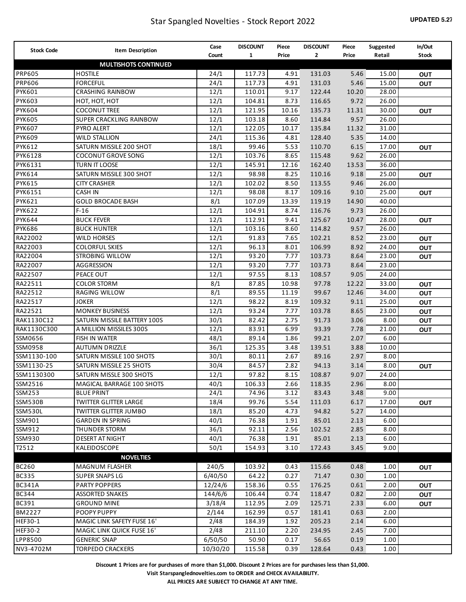| <b>Stock Code</b> | <b>Item Description</b>      | Case     | <b>DISCOUNT</b> | Piece | <b>DISCOUNT</b> | Piece | Suggested | In/Out       |
|-------------------|------------------------------|----------|-----------------|-------|-----------------|-------|-----------|--------------|
|                   |                              | Count    | $\mathbf{1}$    | Price | $\mathbf{2}$    | Price | Retail    | <b>Stock</b> |
|                   | <b>MULTISHOTS CONTINUED</b>  |          |                 |       |                 |       |           |              |
| <b>PRP605</b>     | <b>HOSTILE</b>               | 24/1     | 117.73          | 4.91  | 131.03          | 5.46  | 15.00     | <b>OUT</b>   |
| <b>PRP606</b>     | <b>FORCEFUL</b>              | 24/1     | 117.73          | 4.91  | 131.03          | 5.46  | 15.00     | <b>OUT</b>   |
| PYK601            | <b>CRASHING RAINBOW</b>      | 12/1     | 110.01          | 9.17  | 122.44          | 10.20 | 28.00     |              |
| <b>PYK603</b>     | НОТ, НОТ, НОТ                | 12/1     | 104.81          | 8.73  | 116.65          | 9.72  | 26.00     |              |
| <b>PYK604</b>     | <b>COCONUT TREE</b>          | 12/1     | 121.95          | 10.16 | 135.73          | 11.31 | 30.00     | <b>OUT</b>   |
| <b>PYK605</b>     | SUPER CRACKLING RAINBOW      | 12/1     | 103.18          | 8.60  | 114.84          | 9.57  | 26.00     |              |
| <b>PYK607</b>     | PYRO ALERT                   | 12/1     | 122.05          | 10.17 | 135.84          | 11.32 | 31.00     |              |
| <b>PYK609</b>     | <b>WILD STALLION</b>         | 24/1     | 115.36          | 4.81  | 128.40          | 5.35  | 14.00     |              |
| PYK612            | SATURN MISSILE 200 SHOT      | 18/1     | 99.46           | 5.53  | 110.70          | 6.15  | 17.00     | <b>OUT</b>   |
| PYK6128           | <b>COCONUT GROVE SONG</b>    | 12/1     | 103.76          | 8.65  | 115.48          | 9.62  | 26.00     |              |
| PYK6131           | TURN IT LOOSE                | 12/1     | 145.91          | 12.16 | 162.40          | 13.53 | 36.00     |              |
| PYK614            | SATURN MISSILE 300 SHOT      | 12/1     | 98.98           | 8.25  | 110.16          | 9.18  | 25.00     | <b>OUT</b>   |
| PYK615            | <b>CITY CRASHER</b>          | 12/1     | 102.02          | 8.50  | 113.55          | 9.46  | 26.00     |              |
| PYK6151           | <b>CASH IN</b>               | 12/1     | 98.08           | 8.17  | 109.16          | 9.10  | 25.00     | <b>OUT</b>   |
| PYK621            | <b>GOLD BROCADE BASH</b>     | 8/1      | 107.09          | 13.39 | 119.19          | 14.90 | 40.00     |              |
| <b>PYK622</b>     | $F-16$                       | 12/1     | 104.91          | 8.74  | 116.76          | 9.73  | 26.00     |              |
| PYK644            | <b>BUCK FEVER</b>            | 12/1     | 112.91          | 9.41  | 125.67          | 10.47 | 28.00     | <b>OUT</b>   |
| <b>PYK686</b>     | <b>BUCK HUNTER</b>           | 12/1     | 103.16          | 8.60  | 114.82          | 9.57  | 26.00     |              |
| RA22002           | <b>WILD HORSES</b>           | 12/1     | 91.83           | 7.65  | 102.21          | 8.52  | 23.00     | OUT          |
| RA22003           | <b>COLORFUL SKIES</b>        | 12/1     | 96.13           | 8.01  | 106.99          | 8.92  | 24.00     | <b>OUT</b>   |
| RA22004           | <b>STROBING WILLOW</b>       | 12/1     | 93.20           | 7.77  | 103.73          | 8.64  | 23.00     | <b>OUT</b>   |
| RA22007           | AGGRESSION                   | 12/1     | 93.20           | 7.77  | 103.73          | 8.64  | 23.00     |              |
| RA22507           | PEACE OUT                    | 12/1     | 97.55           | 8.13  | 108.57          | 9.05  | 24.00     |              |
| RA22511           | <b>COLOR STORM</b>           | 8/1      | 87.85           | 10.98 | 97.78           | 12.22 | 33.00     | <b>OUT</b>   |
| RA22512           | RAGING WILLOW                | 8/1      | 89.55           | 11.19 | 99.67           | 12.46 | 34.00     | OUT          |
| RA22517           | <b>JOKER</b>                 | 12/1     | 98.22           | 8.19  | 109.32          | 9.11  | 25.00     | OUT          |
| RA22521           | <b>MONKEY BUSINESS</b>       | 12/1     | 93.24           | 7.77  | 103.78          | 8.65  | 23.00     | OUT          |
| RAK1130C12        | SATURN MISSILE BATTERY 100S  | 30/1     | 82.42           | 2.75  | 91.73           | 3.06  | 8.00      | <b>OUT</b>   |
| RAK1130C300       | A MILLION MISSILES 300S      | 12/1     | 83.91           | 6.99  | 93.39           | 7.78  | 21.00     | <b>OUT</b>   |
| SSM0656           | FISH IN WATER                | 48/1     | 89.14           | 1.86  | 99.21           | 2.07  | 6.00      |              |
| SSM0958           | <b>AUTUMN DRIZZLE</b>        | 36/1     | 125.35          | 3.48  | 139.51          | 3.88  | 10.00     |              |
| SSM1130-100       | SATURN MISSILE 100 SHOTS     | 30/1     | 80.11           | 2.67  | 89.16           | 2.97  | 8.00      |              |
| SSM1130-25        | SATURN MISSILE 25 SHOTS      | 30/4     | 84.57           | 2.82  | 94.13           | 3.14  | 8.00      | <b>OUT</b>   |
| SSM1130300        | SATURN MISSLE 300 SHOTS      | 12/1     | 97.82           | 8.15  | 108.87          | 9.07  | 24.00     |              |
| SSM2516           | MAGICAL BARRAGE 100 SHOTS    | 40/1     | 106.33          | 2.66  | 118.35          | 2.96  | 8.00      |              |
| SSM253            | <b>BLUE PRINT</b>            | 24/1     | 74.96           | 3.12  | 83.43           | 3.48  | 9.00      |              |
| SSM530B           | <b>TWITTER GLITTER LARGE</b> | 18/4     | 99.76           | 5.54  | 111.03          | 6.17  | 17.00     | <b>OUT</b>   |
| SSM530L           | <b>TWITTER GLITTER JUMBO</b> | 18/1     | 85.20           | 4.73  | 94.82           | 5.27  | 14.00     |              |
| SSM901            | <b>GARDEN IN SPRING</b>      | 40/1     | 76.38           | 1.91  | 85.01           | 2.13  | 6.00      |              |
| SSM912            | THUNDER STORM                | 36/1     | 92.11           | 2.56  | 102.52          | 2.85  | 8.00      |              |
| SSM930            | DESERT AT NIGHT              | 40/1     | 76.38           | 1.91  | 85.01           | 2.13  | 6.00      |              |
| T2512             | KALEIDOSCOPE                 | 50/1     | 154.93          | 3.10  | 172.43          | 3.45  | 9.00      |              |
|                   | <b>NOVELTIES</b>             |          |                 |       |                 |       |           |              |
| <b>BC260</b>      | <b>MAGNUM FLASHER</b>        | 240/5    | 103.92          | 0.43  | 115.66          | 0.48  | 1.00      | <b>OUT</b>   |
| <b>BC335</b>      | <b>SUPER SNAPS LG</b>        | 6/40/50  | 64.22           | 0.27  | 71.47           | 0.30  | 1.00      |              |
| <b>BC341A</b>     | <b>PARTY POPPERS</b>         | 12/24/6  | 158.36          | 0.55  | 176.25          | 0.61  | 2.00      | <b>OUT</b>   |
| <b>BC344</b>      | ASSORTED SNAKES              | 144/6/6  | 106.44          | 0.74  | 118.47          | 0.82  | 2.00      | <b>OUT</b>   |
| <b>BC391</b>      | <b>GROUND MINE</b>           | 3/18/4   | 112.95          | 2.09  | 125.71          | 2.33  | 6.00      | <b>OUT</b>   |
| BM2227            | POOPY PUPPY                  | 2/144    | 162.99          | 0.57  | 181.41          | 0.63  | 2.00      |              |
| HEF30-1           | MAGIC LINK SAFETY FUSE 16'   | 2/48     | 184.39          | 1.92  | 205.23          | 2.14  | 6.00      |              |
| <b>HEF30-2</b>    | MAGIC LINK QUICK FUSE 16'    | 2/48     | 211.10          | 2.20  | 234.95          | 2.45  | 7.00      |              |
| LPP8500           | <b>GENERIC SNAP</b>          | 6/50/50  | 50.90           | 0.17  | 56.65           | 0.19  | 1.00      |              |
| NV3-4702M         | <b>TORPEDO CRACKERS</b>      | 10/30/20 | 115.58          | 0.39  | 128.64          | 0.43  | 1.00      |              |
|                   |                              |          |                 |       |                 |       |           |              |

**Visit Starspanglednovelties.com to ORDER and CHECK AVAILABILITY.**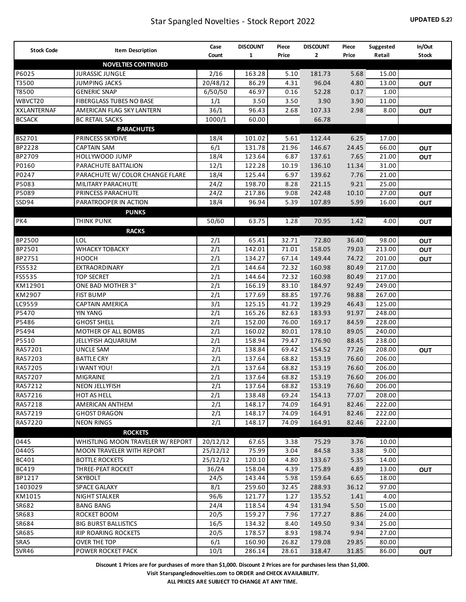| <b>Stock Code</b>  | <b>Item Description</b>           | Case     | <b>DISCOUNT</b> | Piece | <b>DISCOUNT</b> | Piece | Suggested | In/Out       |
|--------------------|-----------------------------------|----------|-----------------|-------|-----------------|-------|-----------|--------------|
|                    |                                   | Count    | 1               | Price | 2               | Price | Retail    | <b>Stock</b> |
|                    | <b>NOVELTIES CONTINUED</b>        |          |                 |       |                 |       |           |              |
| P6025              | <b>JURASSIC JUNGLE</b>            | 2/16     | 163.28          | 5.10  | 181.73          | 5.68  | 15.00     |              |
| T3500              | <b>JUMPING JACKS</b>              | 20/48/12 | 86.29           | 4.31  | 96.04           | 4.80  | 13.00     | OUT          |
| T8500              | <b>GENERIC SNAP</b>               | 6/50/50  | 46.97           | 0.16  | 52.28           | 0.17  | 1.00      |              |
| WBVCT20            | FIBERGLASS TUBES NO BASE          | 1/1      | 3.50            | 3.50  | 3.90            | 3.90  | 11.00     |              |
| <b>XXLANTERNAF</b> | AMERICAN FLAG SKY LANTERN         | 36/1     | 96.43           | 2.68  | 107.33          | 2.98  | 8.00      | OUT          |
| <b>BCSACK</b>      | <b>BC RETAIL SACKS</b>            | 1000/1   | 60.00           |       | 66.78           |       |           |              |
|                    | <b>PARACHUTES</b>                 |          |                 |       |                 |       |           |              |
| BS2701             | PRINCESS SKYDIVE                  | 18/4     | 101.02          | 5.61  | 112.44          | 6.25  | 17.00     |              |
| BP2228             | <b>CAPTAIN SAM</b>                | 6/1      | 131.78          | 21.96 | 146.67          | 24.45 | 66.00     | <b>OUT</b>   |
| BP2709             | <b>HOLLYWOOD JUMP</b>             | 18/4     | 123.64          | 6.87  | 137.61          | 7.65  | 21.00     | <b>OUT</b>   |
| P0160              | PARACHUTE BATTALION               | 12/1     | 122.28          | 10.19 | 136.10          | 11.34 | 31.00     |              |
| P0247              | PARACHUTE W/ COLOR CHANGE FLARE   | 18/4     | 125.44          | 6.97  | 139.62          | 7.76  | 21.00     |              |
| P5083              | MILITARY PARACHUTE                | 24/2     | 198.70          | 8.28  | 221.15          | 9.21  | 25.00     |              |
| P5089              | PRINCESS PARACHUTE                | 24/2     | 217.86          | 9.08  | 242.48          | 10.10 | 27.00     | <b>OUT</b>   |
| SSD94              | PARATROOPER IN ACTION             | 18/4     | 96.94           | 5.39  | 107.89          | 5.99  | 16.00     | OUT          |
| PK4                | <b>PUNKS</b><br><b>THINK PUNK</b> | 50/60    | 63.75           | 1.28  | 70.95           | 1.42  | 4.00      | OUT          |
|                    | <b>RACKS</b>                      |          |                 |       |                 |       |           |              |
| BP2500             | LOL                               | 2/1      | 65.41           | 32.71 | 72.80           | 36.40 | 98.00     | <b>OUT</b>   |
| BP2501             | <b>WHACKY TOBACKY</b>             | 2/1      | 142.01          | 71.01 | 158.05          | 79.03 | 213.00    | OUT          |
| BP2751             | <b>HOOCH</b>                      | 2/1      | 134.27          | 67.14 | 149.44          | 74.72 | 201.00    | <b>OUT</b>   |
| FS5532             | EXTRAORDINARY                     | 2/1      | 144.64          | 72.32 | 160.98          | 80.49 | 217.00    |              |
| FS5535             | <b>TOP SECRET</b>                 | 2/1      | 144.64          | 72.32 | 160.98          | 80.49 | 217.00    |              |
| KM12901            | ONE BAD MOTHER 3"                 | 2/1      | 166.19          | 83.10 | 184.97          | 92.49 | 249.00    |              |
| KM2907             | <b>FIST BUMP</b>                  | 2/1      | 177.69          | 88.85 | 197.76          | 98.88 | 267.00    |              |
| LC9559             | <b>CAPTAIN AMERICA</b>            | 3/1      | 125.15          | 41.72 | 139.29          | 46.43 | 125.00    |              |
| P5470              | YIN YANG                          | 2/1      | 165.26          | 82.63 | 183.93          | 91.97 | 248.00    |              |
| P5486              | <b>GHOST SHELL</b>                | 2/1      | 152.00          | 76.00 | 169.17          | 84.59 | 228.00    |              |
| P5494              | MOTHER OF ALL BOMBS               | 2/1      | 160.02          | 80.01 | 178.10          | 89.05 | 240.00    |              |
| P5510              | JELLYFISH AQUARIUM                | 2/1      | 158.94          | 79.47 | 176.90          | 88.45 | 238.00    |              |
| RA57201            | UNCLE SAM                         | 2/1      | 138.84          | 69.42 | 154.52          | 77.26 | 208.00    | <b>OUT</b>   |
| RA57203            | <b>BATTLE CRY</b>                 | 2/1      | 137.64          | 68.82 | 153.19          | 76.60 | 206.00    |              |
| RA57205            | I WANT YOU!                       | 2/1      | 137.64          | 68.82 | 153.19          | 76.60 | 206.00    |              |
| RA57207            | MIGRAINE                          | 2/1      | 137.64          | 68.82 | 153.19          | 76.60 | 206.00    |              |
| RA57212            | NEON JELLYFISH                    | 2/1      | 137.64          | 68.82 | 153.19          | 76.60 | 206.00    |              |
| RA57216            | HOT AS HELL                       | 2/1      | 138.48          | 69.24 | 154.13          | 77.07 | 208.00    |              |
| RA57218            | AMERICAN ANTHEM                   | 2/1      | 148.17          | 74.09 | 164.91          | 82.46 | 222.00    |              |
| RA57219            | <b>GHOST DRAGON</b>               | 2/1      | 148.17          | 74.09 | 164.91          | 82.46 | 222.00    |              |
| RA57220            | <b>NEON RINGS</b>                 | 2/1      | 148.17          | 74.09 | 164.91          | 82.46 | 222.00    |              |
|                    | <b>ROCKETS</b>                    |          |                 |       |                 |       |           |              |
| 0445               | WHISTLING MOON TRAVELER W/ REPORT | 20/12/12 | 67.65           | 3.38  | 75.29           | 3.76  | 10.00     |              |
| 0440S              | MOON TRAVELER WITH REPORT         | 25/12/12 | 75.99           | 3.04  | 84.58           | 3.38  | 9.00      |              |
| BC401              | <b>BOTTLE ROCKETS</b>             | 25/12/12 | 120.10          | 4.80  | 133.67          | 5.35  | 14.00     |              |
| BC419              | THREE-PEAT ROCKET                 | 36/24    | 158.04          | 4.39  | 175.89          | 4.89  | 13.00     | <b>OUT</b>   |
| BP1217             | <b>SKYBOLT</b>                    | 24/5     | 143.44          | 5.98  | 159.64          | 6.65  | 18.00     |              |
| 1403029            | SPACE GALAXY                      | 8/1      | 259.60          | 32.45 | 288.93          | 36.12 | 97.00     |              |
| KM1015             | NIGHT STALKER                     | 96/6     | 121.77          | 1.27  | 135.52          | 1.41  | 4.00      |              |
| SR682              | <b>BANG BANG</b>                  | 24/4     | 118.54          | 4.94  | 131.94          | 5.50  | 15.00     |              |
| SR683              | ROCKET BOOM                       | 20/5     | 159.27          | 7.96  | 177.27          | 8.86  | 24.00     |              |
| SR684              | <b>BIG BURST BALLISTICS</b>       | 16/5     | 134.32          | 8.40  | 149.50          | 9.34  | 25.00     |              |
| SR685              | RIP ROARING ROCKETS               | 20/5     | 178.57          | 8.93  | 198.74          | 9.94  | 27.00     |              |
| SRA5               | OVER THE TOP                      | 6/1      | 160.90          | 26.82 | 179.08          | 29.85 | 80.00     |              |
| SVR46              | POWER ROCKET PACK                 | 10/1     | 286.14          | 28.61 | 318.47          | 31.85 | 86.00     | <b>OUT</b>   |

**Visit Starspanglednovelties.com to ORDER and CHECK AVAILABILITY.**